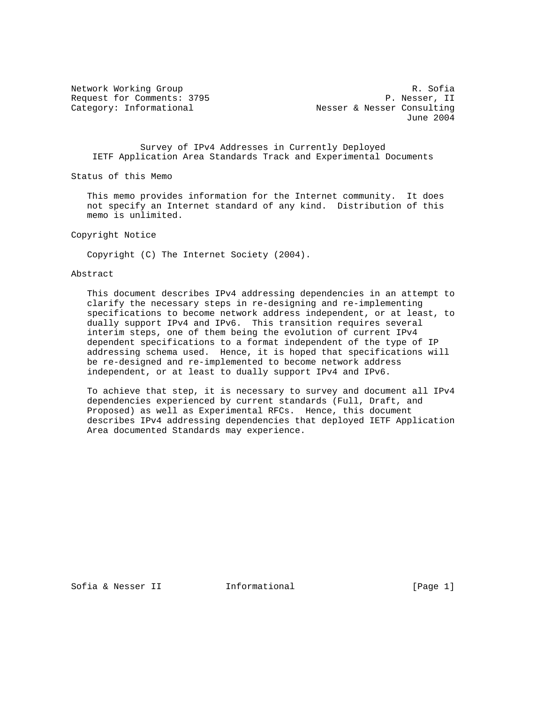Network Working Group and the set of the set of the Sofia R. Sofia Request for Comments: 3795 P. Nesser, II Category: Informational **Nesser & Nesser Consulting** June 2004

 Survey of IPv4 Addresses in Currently Deployed IETF Application Area Standards Track and Experimental Documents

Status of this Memo

 This memo provides information for the Internet community. It does not specify an Internet standard of any kind. Distribution of this memo is unlimited.

Copyright Notice

Copyright (C) The Internet Society (2004).

### Abstract

 This document describes IPv4 addressing dependencies in an attempt to clarify the necessary steps in re-designing and re-implementing specifications to become network address independent, or at least, to dually support IPv4 and IPv6. This transition requires several interim steps, one of them being the evolution of current IPv4 dependent specifications to a format independent of the type of IP addressing schema used. Hence, it is hoped that specifications will be re-designed and re-implemented to become network address independent, or at least to dually support IPv4 and IPv6.

 To achieve that step, it is necessary to survey and document all IPv4 dependencies experienced by current standards (Full, Draft, and Proposed) as well as Experimental RFCs. Hence, this document describes IPv4 addressing dependencies that deployed IETF Application Area documented Standards may experience.

Sofia & Nesser II 1nformational (Page 1)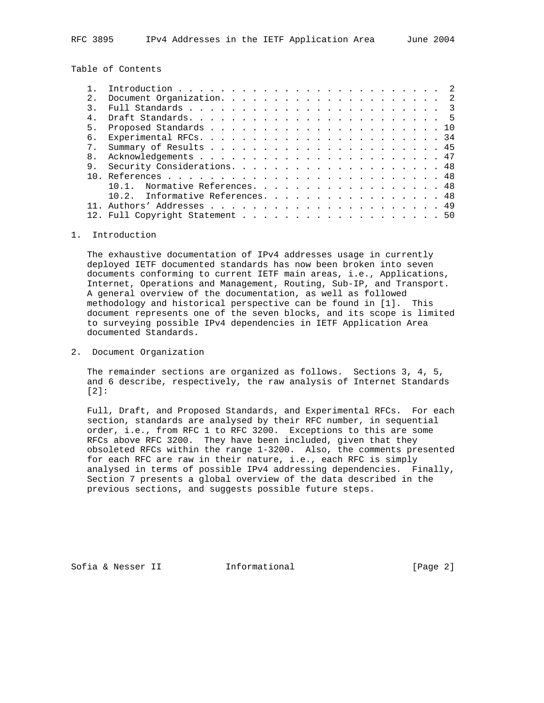Table of Contents

| 2.             |                                  |
|----------------|----------------------------------|
|                |                                  |
|                |                                  |
| 5.             |                                  |
| б.             |                                  |
|                |                                  |
| 8 <sub>1</sub> |                                  |
| 9.             |                                  |
|                |                                  |
|                | Normative References. 48         |
|                | 10.2. Informative References. 48 |
|                |                                  |
|                | 12. Full Copyright Statement 50  |
|                |                                  |

## 1. Introduction

 The exhaustive documentation of IPv4 addresses usage in currently deployed IETF documented standards has now been broken into seven documents conforming to current IETF main areas, i.e., Applications, Internet, Operations and Management, Routing, Sub-IP, and Transport. A general overview of the documentation, as well as followed methodology and historical perspective can be found in [1]. This document represents one of the seven blocks, and its scope is limited to surveying possible IPv4 dependencies in IETF Application Area documented Standards.

2. Document Organization

 The remainder sections are organized as follows. Sections 3, 4, 5, and 6 describe, respectively, the raw analysis of Internet Standards [2]:

 Full, Draft, and Proposed Standards, and Experimental RFCs. For each section, standards are analysed by their RFC number, in sequential order, i.e., from RFC 1 to RFC 3200. Exceptions to this are some RFCs above RFC 3200. They have been included, given that they obsoleted RFCs within the range 1-3200. Also, the comments presented for each RFC are raw in their nature, i.e., each RFC is simply analysed in terms of possible IPv4 addressing dependencies. Finally, Section 7 presents a global overview of the data described in the previous sections, and suggests possible future steps.

Sofia & Nesser II 1nformational (Page 2)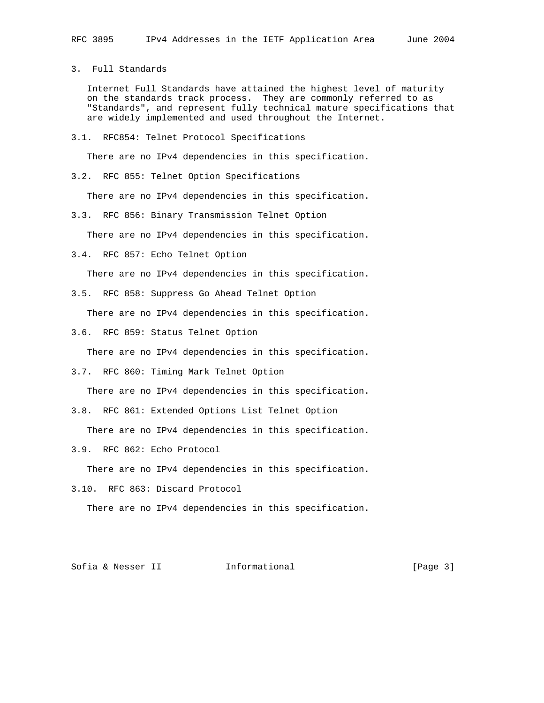3. Full Standards

 Internet Full Standards have attained the highest level of maturity on the standards track process. They are commonly referred to as "Standards", and represent fully technical mature specifications that are widely implemented and used throughout the Internet.

3.1. RFC854: Telnet Protocol Specifications

There are no IPv4 dependencies in this specification.

3.2. RFC 855: Telnet Option Specifications

There are no IPv4 dependencies in this specification.

3.3. RFC 856: Binary Transmission Telnet Option

There are no IPv4 dependencies in this specification.

3.4. RFC 857: Echo Telnet Option

There are no IPv4 dependencies in this specification.

3.5. RFC 858: Suppress Go Ahead Telnet Option

There are no IPv4 dependencies in this specification.

3.6. RFC 859: Status Telnet Option

There are no IPv4 dependencies in this specification.

3.7. RFC 860: Timing Mark Telnet Option

There are no IPv4 dependencies in this specification.

3.8. RFC 861: Extended Options List Telnet Option

There are no IPv4 dependencies in this specification.

3.9. RFC 862: Echo Protocol

There are no IPv4 dependencies in this specification.

3.10. RFC 863: Discard Protocol

There are no IPv4 dependencies in this specification.

Sofia & Nesser II 1nformational (Page 3)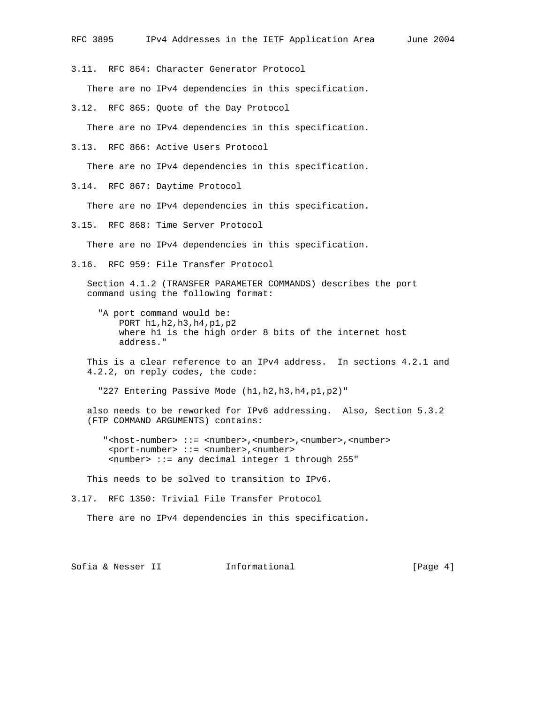3.11. RFC 864: Character Generator Protocol

There are no IPv4 dependencies in this specification.

3.12. RFC 865: Quote of the Day Protocol

There are no IPv4 dependencies in this specification.

3.13. RFC 866: Active Users Protocol

There are no IPv4 dependencies in this specification.

3.14. RFC 867: Daytime Protocol

There are no IPv4 dependencies in this specification.

3.15. RFC 868: Time Server Protocol

There are no IPv4 dependencies in this specification.

3.16. RFC 959: File Transfer Protocol

 Section 4.1.2 (TRANSFER PARAMETER COMMANDS) describes the port command using the following format:

- "A port command would be: PORT h1,h2,h3,h4,p1,p2 where h1 is the high order 8 bits of the internet host address."
- This is a clear reference to an IPv4 address. In sections 4.2.1 and 4.2.2, on reply codes, the code:

"227 Entering Passive Mode (h1,h2,h3,h4,p1,p2)"

 also needs to be reworked for IPv6 addressing. Also, Section 5.3.2 (FTP COMMAND ARGUMENTS) contains:

 "<host-number> ::= <number>,<number>,<number>,<number> <port-number> ::= <number>,<number> <number> ::= any decimal integer 1 through 255"

This needs to be solved to transition to IPv6.

3.17. RFC 1350: Trivial File Transfer Protocol

There are no IPv4 dependencies in this specification.

Sofia & Nesser II 1nformational (Page 4)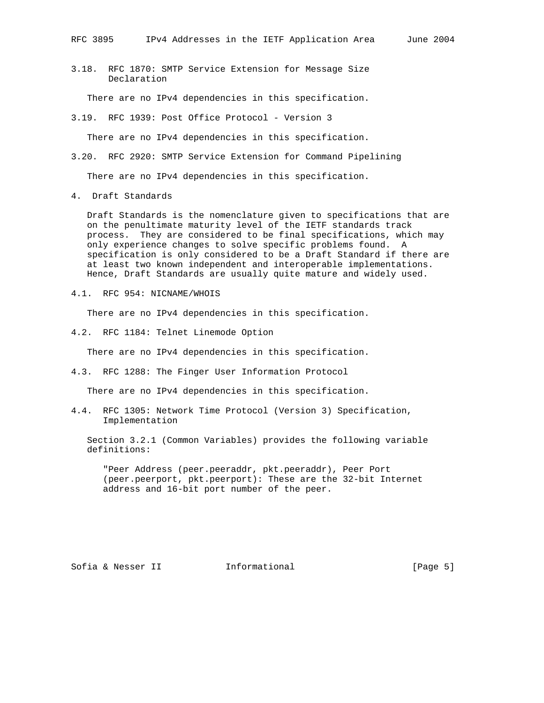3.18. RFC 1870: SMTP Service Extension for Message Size Declaration

There are no IPv4 dependencies in this specification.

3.19. RFC 1939: Post Office Protocol - Version 3

There are no IPv4 dependencies in this specification.

3.20. RFC 2920: SMTP Service Extension for Command Pipelining

There are no IPv4 dependencies in this specification.

4. Draft Standards

 Draft Standards is the nomenclature given to specifications that are on the penultimate maturity level of the IETF standards track process. They are considered to be final specifications, which may only experience changes to solve specific problems found. A specification is only considered to be a Draft Standard if there are at least two known independent and interoperable implementations. Hence, Draft Standards are usually quite mature and widely used.

4.1. RFC 954: NICNAME/WHOIS

There are no IPv4 dependencies in this specification.

4.2. RFC 1184: Telnet Linemode Option

There are no IPv4 dependencies in this specification.

4.3. RFC 1288: The Finger User Information Protocol

There are no IPv4 dependencies in this specification.

4.4. RFC 1305: Network Time Protocol (Version 3) Specification, Implementation

 Section 3.2.1 (Common Variables) provides the following variable definitions:

 "Peer Address (peer.peeraddr, pkt.peeraddr), Peer Port (peer.peerport, pkt.peerport): These are the 32-bit Internet address and 16-bit port number of the peer.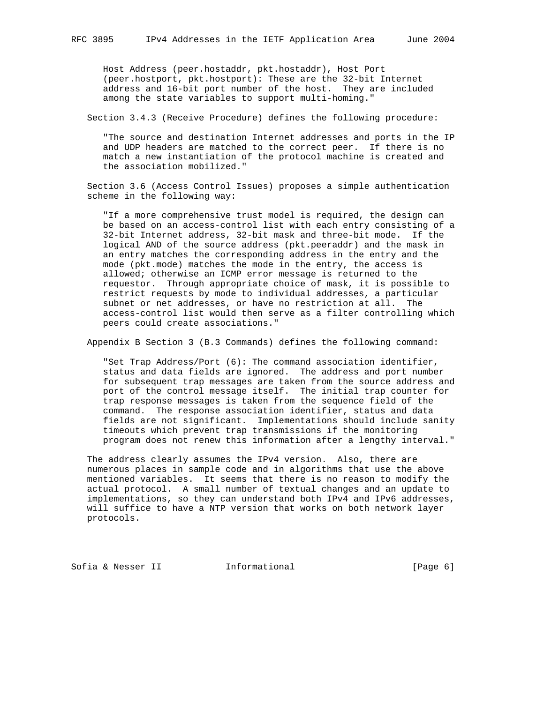Host Address (peer.hostaddr, pkt.hostaddr), Host Port (peer.hostport, pkt.hostport): These are the 32-bit Internet address and 16-bit port number of the host. They are included among the state variables to support multi-homing."

Section 3.4.3 (Receive Procedure) defines the following procedure:

 "The source and destination Internet addresses and ports in the IP and UDP headers are matched to the correct peer. If there is no match a new instantiation of the protocol machine is created and the association mobilized."

 Section 3.6 (Access Control Issues) proposes a simple authentication scheme in the following way:

 "If a more comprehensive trust model is required, the design can be based on an access-control list with each entry consisting of a 32-bit Internet address, 32-bit mask and three-bit mode. If the logical AND of the source address (pkt.peeraddr) and the mask in an entry matches the corresponding address in the entry and the mode (pkt.mode) matches the mode in the entry, the access is allowed; otherwise an ICMP error message is returned to the requestor. Through appropriate choice of mask, it is possible to restrict requests by mode to individual addresses, a particular subnet or net addresses, or have no restriction at all. The access-control list would then serve as a filter controlling which peers could create associations."

Appendix B Section 3 (B.3 Commands) defines the following command:

 "Set Trap Address/Port (6): The command association identifier, status and data fields are ignored. The address and port number for subsequent trap messages are taken from the source address and port of the control message itself. The initial trap counter for trap response messages is taken from the sequence field of the command. The response association identifier, status and data fields are not significant. Implementations should include sanity timeouts which prevent trap transmissions if the monitoring program does not renew this information after a lengthy interval."

 The address clearly assumes the IPv4 version. Also, there are numerous places in sample code and in algorithms that use the above mentioned variables. It seems that there is no reason to modify the actual protocol. A small number of textual changes and an update to implementations, so they can understand both IPv4 and IPv6 addresses, will suffice to have a NTP version that works on both network layer protocols.

Sofia & Nesser II 1nformational (Page 6)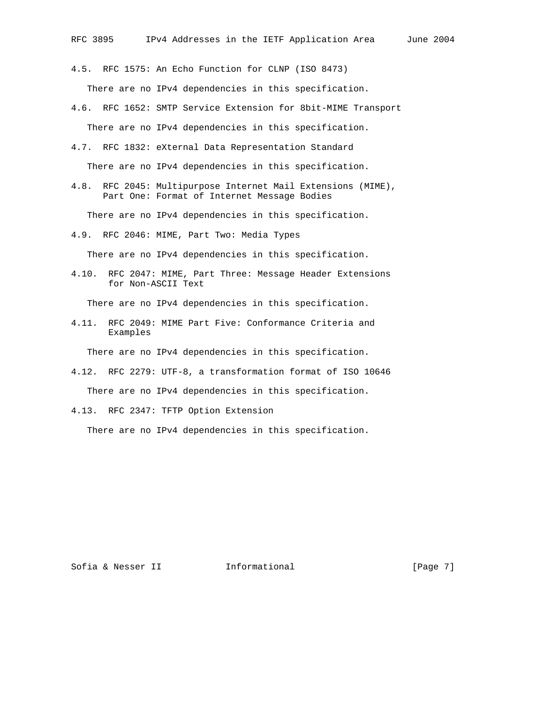4.5. RFC 1575: An Echo Function for CLNP (ISO 8473) There are no IPv4 dependencies in this specification.

- 4.6. RFC 1652: SMTP Service Extension for 8bit-MIME Transport There are no IPv4 dependencies in this specification.
- 4.7. RFC 1832: eXternal Data Representation Standard

There are no IPv4 dependencies in this specification.

4.8. RFC 2045: Multipurpose Internet Mail Extensions (MIME), Part One: Format of Internet Message Bodies

There are no IPv4 dependencies in this specification.

4.9. RFC 2046: MIME, Part Two: Media Types

There are no IPv4 dependencies in this specification.

4.10. RFC 2047: MIME, Part Three: Message Header Extensions for Non-ASCII Text

There are no IPv4 dependencies in this specification.

4.11. RFC 2049: MIME Part Five: Conformance Criteria and Examples

There are no IPv4 dependencies in this specification.

- 4.12. RFC 2279: UTF-8, a transformation format of ISO 10646 There are no IPv4 dependencies in this specification.
- 4.13. RFC 2347: TFTP Option Extension

There are no IPv4 dependencies in this specification.

Sofia & Nesser II 1nformational (Page 7)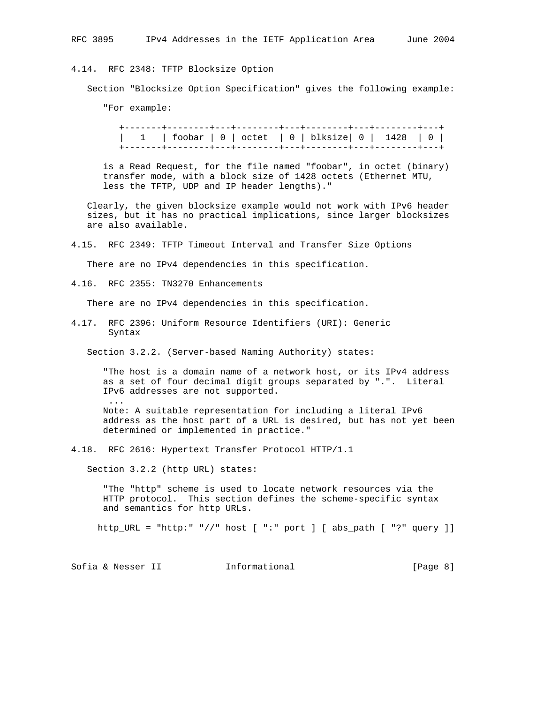# 4.14. RFC 2348: TFTP Blocksize Option

Section "Blocksize Option Specification" gives the following example:

"For example:

|  |  | 1   foobar   0   octet   0   blksize   0   1428   0 |  |
|--|--|-----------------------------------------------------|--|
|  |  |                                                     |  |

 is a Read Request, for the file named "foobar", in octet (binary) transfer mode, with a block size of 1428 octets (Ethernet MTU, less the TFTP, UDP and IP header lengths)."

 Clearly, the given blocksize example would not work with IPv6 header sizes, but it has no practical implications, since larger blocksizes are also available.

4.15. RFC 2349: TFTP Timeout Interval and Transfer Size Options

There are no IPv4 dependencies in this specification.

4.16. RFC 2355: TN3270 Enhancements

There are no IPv4 dependencies in this specification.

4.17. RFC 2396: Uniform Resource Identifiers (URI): Generic Syntax

Section 3.2.2. (Server-based Naming Authority) states:

 "The host is a domain name of a network host, or its IPv4 address as a set of four decimal digit groups separated by ".". Literal IPv6 addresses are not supported. ...

 Note: A suitable representation for including a literal IPv6 address as the host part of a URL is desired, but has not yet been determined or implemented in practice."

4.18. RFC 2616: Hypertext Transfer Protocol HTTP/1.1

Section 3.2.2 (http URL) states:

 "The "http" scheme is used to locate network resources via the HTTP protocol. This section defines the scheme-specific syntax and semantics for http URLs.

http\_URL = "http:" "//" host [ ":" port ] [ abs\_path [ "?" query ]]

Sofia & Nesser II 1nformational 1999 [Page 8]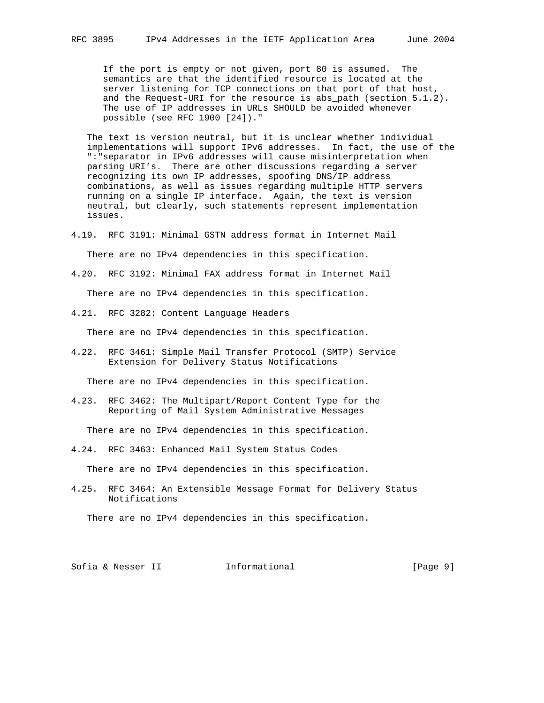If the port is empty or not given, port 80 is assumed. The semantics are that the identified resource is located at the server listening for TCP connections on that port of that host, and the Request-URI for the resource is abs\_path (section 5.1.2). The use of IP addresses in URLs SHOULD be avoided whenever possible (see RFC 1900 [24])."

 The text is version neutral, but it is unclear whether individual implementations will support IPv6 addresses. In fact, the use of the ":"separator in IPv6 addresses will cause misinterpretation when parsing URI's. There are other discussions regarding a server recognizing its own IP addresses, spoofing DNS/IP address combinations, as well as issues regarding multiple HTTP servers running on a single IP interface. Again, the text is version neutral, but clearly, such statements represent implementation issues.

- 4.19. RFC 3191: Minimal GSTN address format in Internet Mail There are no IPv4 dependencies in this specification.
- 4.20. RFC 3192: Minimal FAX address format in Internet Mail There are no IPv4 dependencies in this specification.
- 4.21. RFC 3282: Content Language Headers

There are no IPv4 dependencies in this specification.

4.22. RFC 3461: Simple Mail Transfer Protocol (SMTP) Service Extension for Delivery Status Notifications

There are no IPv4 dependencies in this specification.

4.23. RFC 3462: The Multipart/Report Content Type for the Reporting of Mail System Administrative Messages

There are no IPv4 dependencies in this specification.

4.24. RFC 3463: Enhanced Mail System Status Codes

There are no IPv4 dependencies in this specification.

4.25. RFC 3464: An Extensible Message Format for Delivery Status Notifications

There are no IPv4 dependencies in this specification.

Sofia & Nesser II 1nformational 1999 [Page 9]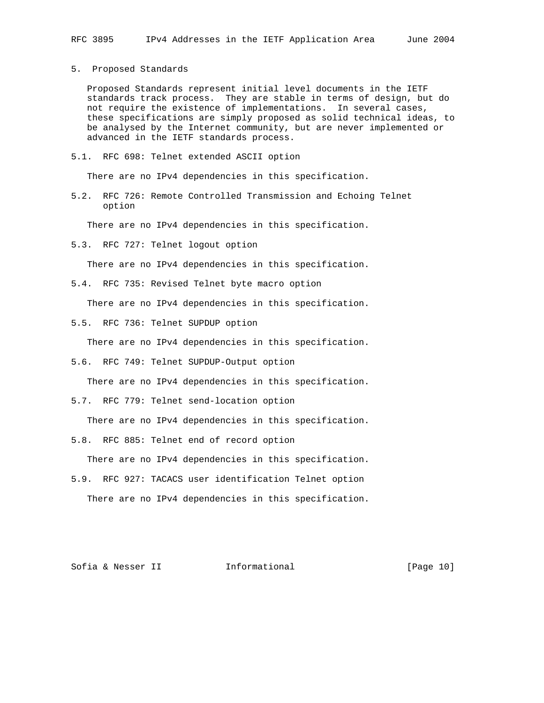### 5. Proposed Standards

 Proposed Standards represent initial level documents in the IETF standards track process. They are stable in terms of design, but do not require the existence of implementations. In several cases, these specifications are simply proposed as solid technical ideas, to be analysed by the Internet community, but are never implemented or advanced in the IETF standards process.

5.1. RFC 698: Telnet extended ASCII option

There are no IPv4 dependencies in this specification.

5.2. RFC 726: Remote Controlled Transmission and Echoing Telnet option

There are no IPv4 dependencies in this specification.

5.3. RFC 727: Telnet logout option

There are no IPv4 dependencies in this specification.

5.4. RFC 735: Revised Telnet byte macro option

There are no IPv4 dependencies in this specification.

5.5. RFC 736: Telnet SUPDUP option

There are no IPv4 dependencies in this specification.

5.6. RFC 749: Telnet SUPDUP-Output option

There are no IPv4 dependencies in this specification.

5.7. RFC 779: Telnet send-location option

There are no IPv4 dependencies in this specification.

5.8. RFC 885: Telnet end of record option

There are no IPv4 dependencies in this specification.

5.9. RFC 927: TACACS user identification Telnet option There are no IPv4 dependencies in this specification.

Sofia & Nesser II 1nformational [Page 10]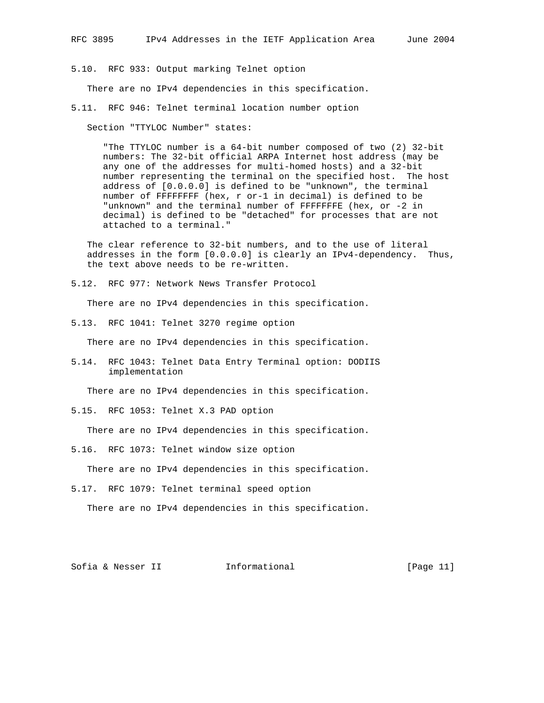5.10. RFC 933: Output marking Telnet option

There are no IPv4 dependencies in this specification.

5.11. RFC 946: Telnet terminal location number option

Section "TTYLOC Number" states:

 "The TTYLOC number is a 64-bit number composed of two (2) 32-bit numbers: The 32-bit official ARPA Internet host address (may be any one of the addresses for multi-homed hosts) and a 32-bit number representing the terminal on the specified host. The host address of [0.0.0.0] is defined to be "unknown", the terminal number of FFFFFFFF (hex, r or-1 in decimal) is defined to be "unknown" and the terminal number of FFFFFFFE (hex, or -2 in decimal) is defined to be "detached" for processes that are not attached to a terminal."

 The clear reference to 32-bit numbers, and to the use of literal addresses in the form [0.0.0.0] is clearly an IPv4-dependency. Thus, the text above needs to be re-written.

5.12. RFC 977: Network News Transfer Protocol

There are no IPv4 dependencies in this specification.

5.13. RFC 1041: Telnet 3270 regime option

There are no IPv4 dependencies in this specification.

5.14. RFC 1043: Telnet Data Entry Terminal option: DODIIS implementation

There are no IPv4 dependencies in this specification.

5.15. RFC 1053: Telnet X.3 PAD option

There are no IPv4 dependencies in this specification.

5.16. RFC 1073: Telnet window size option

There are no IPv4 dependencies in this specification.

5.17. RFC 1079: Telnet terminal speed option

There are no IPv4 dependencies in this specification.

Sofia & Nesser II 1nformational [Page 11]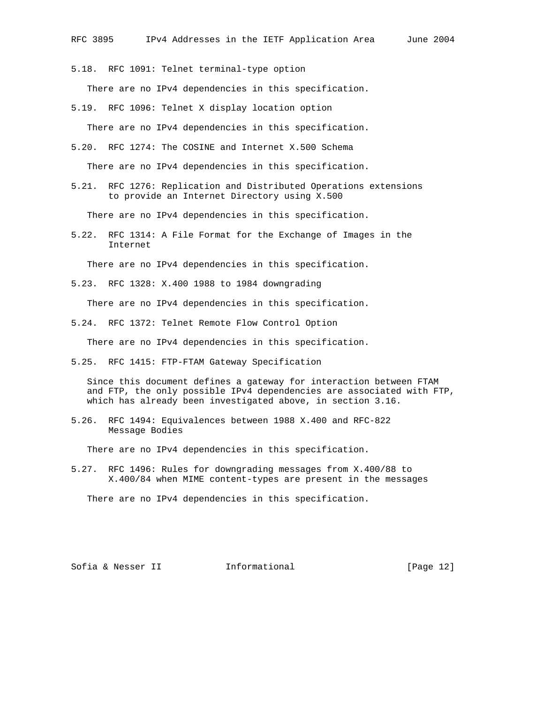5.18. RFC 1091: Telnet terminal-type option

There are no IPv4 dependencies in this specification.

- 5.19. RFC 1096: Telnet X display location option There are no IPv4 dependencies in this specification.
- 5.20. RFC 1274: The COSINE and Internet X.500 Schema

There are no IPv4 dependencies in this specification.

5.21. RFC 1276: Replication and Distributed Operations extensions to provide an Internet Directory using X.500

There are no IPv4 dependencies in this specification.

5.22. RFC 1314: A File Format for the Exchange of Images in the Internet

There are no IPv4 dependencies in this specification.

5.23. RFC 1328: X.400 1988 to 1984 downgrading

There are no IPv4 dependencies in this specification.

5.24. RFC 1372: Telnet Remote Flow Control Option

There are no IPv4 dependencies in this specification.

5.25. RFC 1415: FTP-FTAM Gateway Specification

 Since this document defines a gateway for interaction between FTAM and FTP, the only possible IPv4 dependencies are associated with FTP, which has already been investigated above, in section 3.16.

5.26. RFC 1494: Equivalences between 1988 X.400 and RFC-822 Message Bodies

There are no IPv4 dependencies in this specification.

5.27. RFC 1496: Rules for downgrading messages from X.400/88 to X.400/84 when MIME content-types are present in the messages

There are no IPv4 dependencies in this specification.

Sofia & Nesser II 1nformational [Page 12]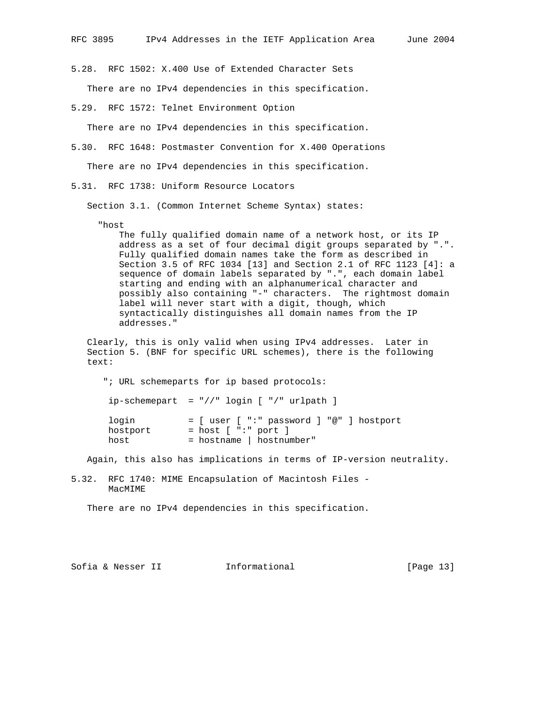5.28. RFC 1502: X.400 Use of Extended Character Sets

There are no IPv4 dependencies in this specification.

5.29. RFC 1572: Telnet Environment Option

There are no IPv4 dependencies in this specification.

5.30. RFC 1648: Postmaster Convention for X.400 Operations

There are no IPv4 dependencies in this specification.

5.31. RFC 1738: Uniform Resource Locators

Section 3.1. (Common Internet Scheme Syntax) states:

"host

 The fully qualified domain name of a network host, or its IP address as a set of four decimal digit groups separated by ".". Fully qualified domain names take the form as described in Section 3.5 of RFC 1034 [13] and Section 2.1 of RFC 1123 [4]: a sequence of domain labels separated by ".", each domain label starting and ending with an alphanumerical character and possibly also containing "-" characters. The rightmost domain label will never start with a digit, though, which syntactically distinguishes all domain names from the IP addresses."

 Clearly, this is only valid when using IPv4 addresses. Later in Section 5. (BNF for specific URL schemes), there is the following text:

"; URL schemeparts for ip based protocols:

ip-schemepart = "//" login [ "/" urlpath ]

| login    | $=$ [ user [ ":" password ] "@" ] hostport |
|----------|--------------------------------------------|
| hostport | $=$ host $[$ ":" port $]$                  |
| host     | $=$ hostname   hostnumber"                 |

Again, this also has implications in terms of IP-version neutrality.

5.32. RFC 1740: MIME Encapsulation of Macintosh Files - MacMIME

There are no IPv4 dependencies in this specification.

Sofia & Nesser II 1nformational [Page 13]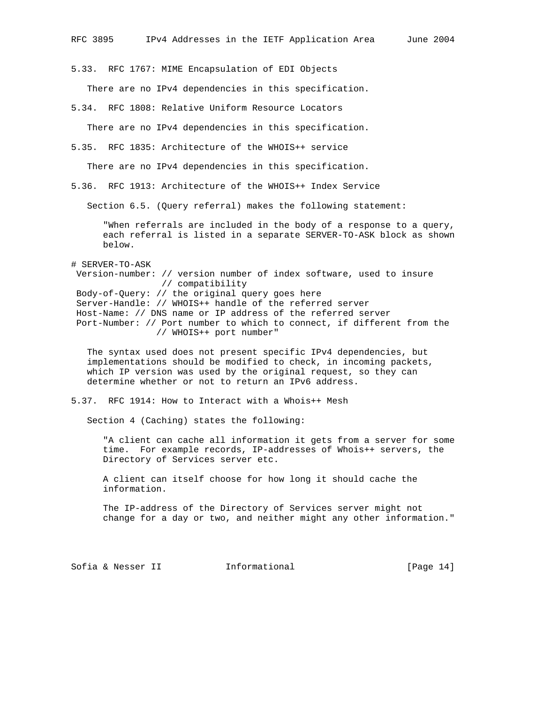5.33. RFC 1767: MIME Encapsulation of EDI Objects

There are no IPv4 dependencies in this specification.

5.34. RFC 1808: Relative Uniform Resource Locators

There are no IPv4 dependencies in this specification.

5.35. RFC 1835: Architecture of the WHOIS++ service

There are no IPv4 dependencies in this specification.

5.36. RFC 1913: Architecture of the WHOIS++ Index Service

Section 6.5. (Query referral) makes the following statement:

 "When referrals are included in the body of a response to a query, each referral is listed in a separate SERVER-TO-ASK block as shown below.

# SERVER-TO-ASK Version-number: // version number of index software, used to insure // compatibility Body-of-Query: // the original query goes here Server-Handle: // WHOIS++ handle of the referred server Host-Name: // DNS name or IP address of the referred server Port-Number: // Port number to which to connect, if different from the // WHOIS++ port number"

 The syntax used does not present specific IPv4 dependencies, but implementations should be modified to check, in incoming packets, which IP version was used by the original request, so they can determine whether or not to return an IPv6 address.

5.37. RFC 1914: How to Interact with a Whois++ Mesh

Section 4 (Caching) states the following:

 "A client can cache all information it gets from a server for some time. For example records, IP-addresses of Whois++ servers, the Directory of Services server etc.

 A client can itself choose for how long it should cache the information.

 The IP-address of the Directory of Services server might not change for a day or two, and neither might any other information."

Sofia & Nesser II 1nformational [Page 14]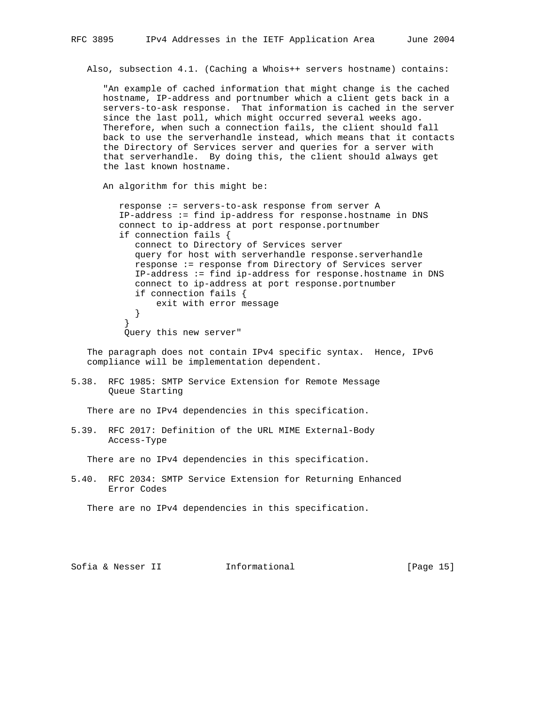Also, subsection 4.1. (Caching a Whois++ servers hostname) contains:

 "An example of cached information that might change is the cached hostname, IP-address and portnumber which a client gets back in a servers-to-ask response. That information is cached in the server since the last poll, which might occurred several weeks ago. Therefore, when such a connection fails, the client should fall back to use the serverhandle instead, which means that it contacts the Directory of Services server and queries for a server with that serverhandle. By doing this, the client should always get the last known hostname.

An algorithm for this might be:

 response := servers-to-ask response from server A IP-address := find ip-address for response.hostname in DNS connect to ip-address at port response.portnumber if connection fails { connect to Directory of Services server query for host with serverhandle response.serverhandle response := response from Directory of Services server IP-address := find ip-address for response.hostname in DNS connect to ip-address at port response.portnumber if connection fails { exit with error message } } Query this new server"

 The paragraph does not contain IPv4 specific syntax. Hence, IPv6 compliance will be implementation dependent.

5.38. RFC 1985: SMTP Service Extension for Remote Message Queue Starting

There are no IPv4 dependencies in this specification.

5.39. RFC 2017: Definition of the URL MIME External-Body Access-Type

There are no IPv4 dependencies in this specification.

5.40. RFC 2034: SMTP Service Extension for Returning Enhanced Error Codes

There are no IPv4 dependencies in this specification.

Sofia & Nesser II 1nformational [Page 15]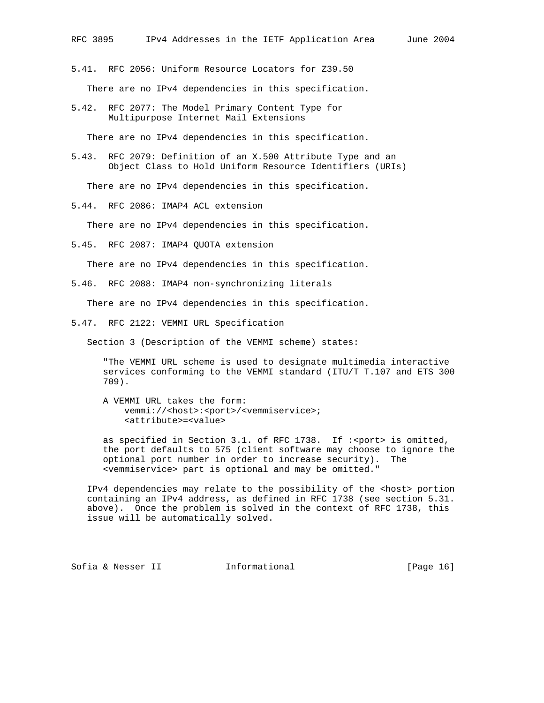- 5.41. RFC 2056: Uniform Resource Locators for Z39.50 There are no IPv4 dependencies in this specification.
- 5.42. RFC 2077: The Model Primary Content Type for Multipurpose Internet Mail Extensions

There are no IPv4 dependencies in this specification.

5.43. RFC 2079: Definition of an X.500 Attribute Type and an Object Class to Hold Uniform Resource Identifiers (URIs)

There are no IPv4 dependencies in this specification.

5.44. RFC 2086: IMAP4 ACL extension

There are no IPv4 dependencies in this specification.

5.45. RFC 2087: IMAP4 QUOTA extension

There are no IPv4 dependencies in this specification.

5.46. RFC 2088: IMAP4 non-synchronizing literals

There are no IPv4 dependencies in this specification.

5.47. RFC 2122: VEMMI URL Specification

Section 3 (Description of the VEMMI scheme) states:

 "The VEMMI URL scheme is used to designate multimedia interactive services conforming to the VEMMI standard (ITU/T T.107 and ETS 300 709).

 A VEMMI URL takes the form: vemmi://<host>:<port>/<vemmiservice>; <attribute>=<value>

as specified in Section 3.1. of RFC 1738. If : < port> is omitted, the port defaults to 575 (client software may choose to ignore the optional port number in order to increase security). The <vemmiservice> part is optional and may be omitted."

IPv4 dependencies may relate to the possibility of the <host> portion containing an IPv4 address, as defined in RFC 1738 (see section 5.31. above). Once the problem is solved in the context of RFC 1738, this issue will be automatically solved.

Sofia & Nesser II 1nformational [Page 16]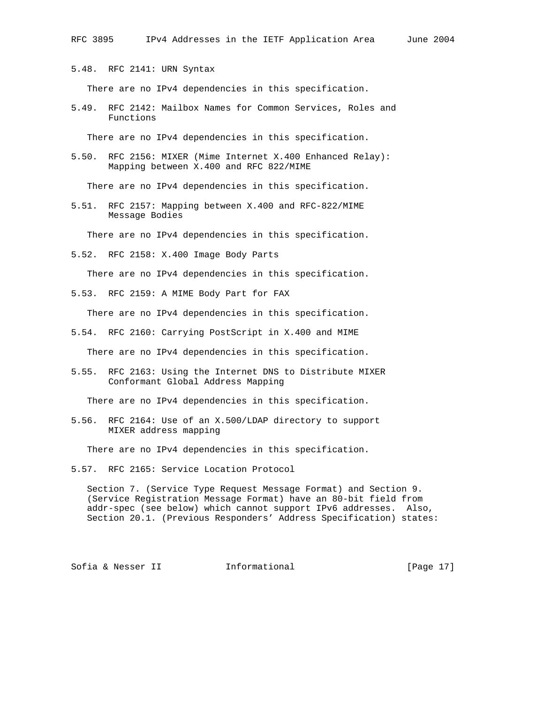5.48. RFC 2141: URN Syntax

There are no IPv4 dependencies in this specification.

5.49. RFC 2142: Mailbox Names for Common Services, Roles and Functions

There are no IPv4 dependencies in this specification.

5.50. RFC 2156: MIXER (Mime Internet X.400 Enhanced Relay): Mapping between X.400 and RFC 822/MIME

There are no IPv4 dependencies in this specification.

5.51. RFC 2157: Mapping between X.400 and RFC-822/MIME Message Bodies

There are no IPv4 dependencies in this specification.

5.52. RFC 2158: X.400 Image Body Parts

There are no IPv4 dependencies in this specification.

5.53. RFC 2159: A MIME Body Part for FAX

There are no IPv4 dependencies in this specification.

5.54. RFC 2160: Carrying PostScript in X.400 and MIME

There are no IPv4 dependencies in this specification.

5.55. RFC 2163: Using the Internet DNS to Distribute MIXER Conformant Global Address Mapping

There are no IPv4 dependencies in this specification.

5.56. RFC 2164: Use of an X.500/LDAP directory to support MIXER address mapping

There are no IPv4 dependencies in this specification.

5.57. RFC 2165: Service Location Protocol

 Section 7. (Service Type Request Message Format) and Section 9. (Service Registration Message Format) have an 80-bit field from addr-spec (see below) which cannot support IPv6 addresses. Also, Section 20.1. (Previous Responders' Address Specification) states:

Sofia & Nesser II 1nformational [Page 17]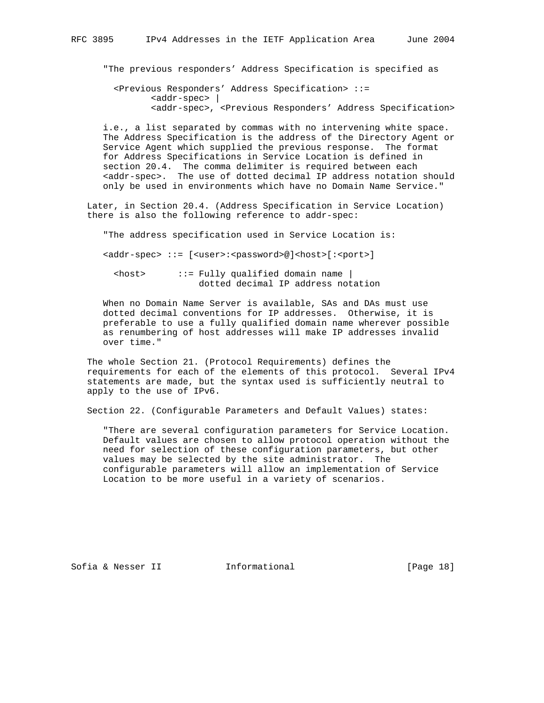"The previous responders' Address Specification is specified as

 <Previous Responders' Address Specification> ::= <addr-spec> | <addr-spec>, <Previous Responders' Address Specification>

 i.e., a list separated by commas with no intervening white space. The Address Specification is the address of the Directory Agent or Service Agent which supplied the previous response. The format for Address Specifications in Service Location is defined in section 20.4. The comma delimiter is required between each <addr-spec>. The use of dotted decimal IP address notation should only be used in environments which have no Domain Name Service."

 Later, in Section 20.4. (Address Specification in Service Location) there is also the following reference to addr-spec:

"The address specification used in Service Location is:

<addr-spec> ::= [<user>:<password>@]<host>[:<port>]

 <host> ::= Fully qualified domain name | dotted decimal IP address notation

 When no Domain Name Server is available, SAs and DAs must use dotted decimal conventions for IP addresses. Otherwise, it is preferable to use a fully qualified domain name wherever possible as renumbering of host addresses will make IP addresses invalid over time."

 The whole Section 21. (Protocol Requirements) defines the requirements for each of the elements of this protocol. Several IPv4 statements are made, but the syntax used is sufficiently neutral to apply to the use of IPv6.

Section 22. (Configurable Parameters and Default Values) states:

 "There are several configuration parameters for Service Location. Default values are chosen to allow protocol operation without the need for selection of these configuration parameters, but other values may be selected by the site administrator. The configurable parameters will allow an implementation of Service Location to be more useful in a variety of scenarios.

Sofia & Nesser II 1nformational [Page 18]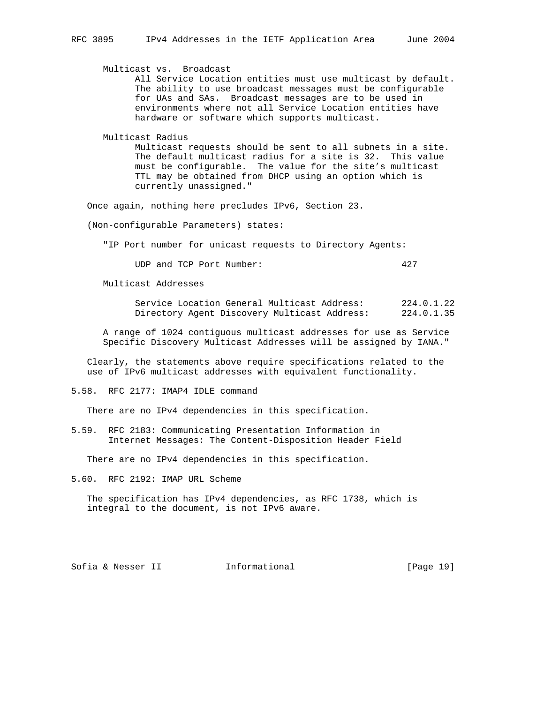Multicast vs. Broadcast

 All Service Location entities must use multicast by default. The ability to use broadcast messages must be configurable for UAs and SAs. Broadcast messages are to be used in environments where not all Service Location entities have hardware or software which supports multicast.

Multicast Radius

 Multicast requests should be sent to all subnets in a site. The default multicast radius for a site is 32. This value must be configurable. The value for the site's multicast TTL may be obtained from DHCP using an option which is currently unassigned."

Once again, nothing here precludes IPv6, Section 23.

(Non-configurable Parameters) states:

"IP Port number for unicast requests to Directory Agents:

UDP and TCP Port Number: 427

Multicast Addresses

```
 Service Location General Multicast Address: 224.0.1.22
Directory Agent Discovery Multicast Address: 224.0.1.35
```
 A range of 1024 contiguous multicast addresses for use as Service Specific Discovery Multicast Addresses will be assigned by IANA."

 Clearly, the statements above require specifications related to the use of IPv6 multicast addresses with equivalent functionality.

5.58. RFC 2177: IMAP4 IDLE command

There are no IPv4 dependencies in this specification.

5.59. RFC 2183: Communicating Presentation Information in Internet Messages: The Content-Disposition Header Field

There are no IPv4 dependencies in this specification.

5.60. RFC 2192: IMAP URL Scheme

 The specification has IPv4 dependencies, as RFC 1738, which is integral to the document, is not IPv6 aware.

Sofia & Nesser II 1nformational [Page 19]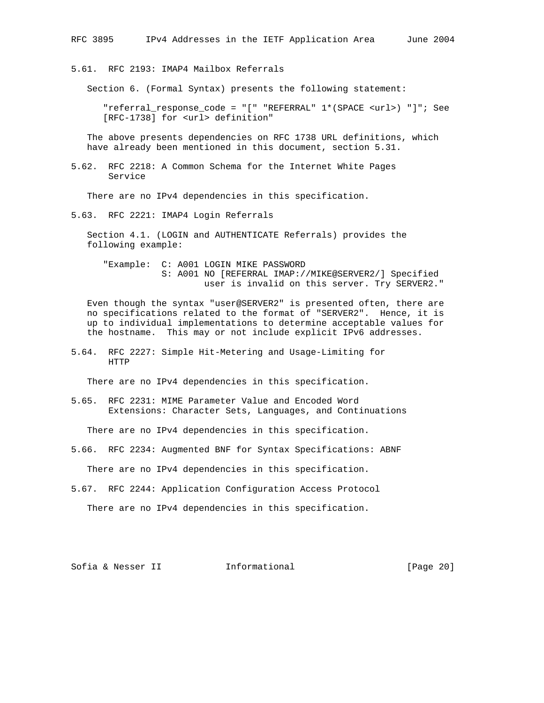5.61. RFC 2193: IMAP4 Mailbox Referrals

Section 6. (Formal Syntax) presents the following statement:

 "referral\_response\_code = "[" "REFERRAL" 1\*(SPACE <url>) "]"; See [RFC-1738] for <url> definition"

 The above presents dependencies on RFC 1738 URL definitions, which have already been mentioned in this document, section 5.31.

5.62. RFC 2218: A Common Schema for the Internet White Pages Service

There are no IPv4 dependencies in this specification.

5.63. RFC 2221: IMAP4 Login Referrals

 Section 4.1. (LOGIN and AUTHENTICATE Referrals) provides the following example:

 "Example: C: A001 LOGIN MIKE PASSWORD S: A001 NO [REFERRAL IMAP://MIKE@SERVER2/] Specified user is invalid on this server. Try SERVER2."

 Even though the syntax "user@SERVER2" is presented often, there are no specifications related to the format of "SERVER2". Hence, it is up to individual implementations to determine acceptable values for the hostname. This may or not include explicit IPv6 addresses.

5.64. RFC 2227: Simple Hit-Metering and Usage-Limiting for HTTP

There are no IPv4 dependencies in this specification.

5.65. RFC 2231: MIME Parameter Value and Encoded Word Extensions: Character Sets, Languages, and Continuations

There are no IPv4 dependencies in this specification.

5.66. RFC 2234: Augmented BNF for Syntax Specifications: ABNF

There are no IPv4 dependencies in this specification.

5.67. RFC 2244: Application Configuration Access Protocol

There are no IPv4 dependencies in this specification.

Sofia & Nesser II 1nformational [Page 20]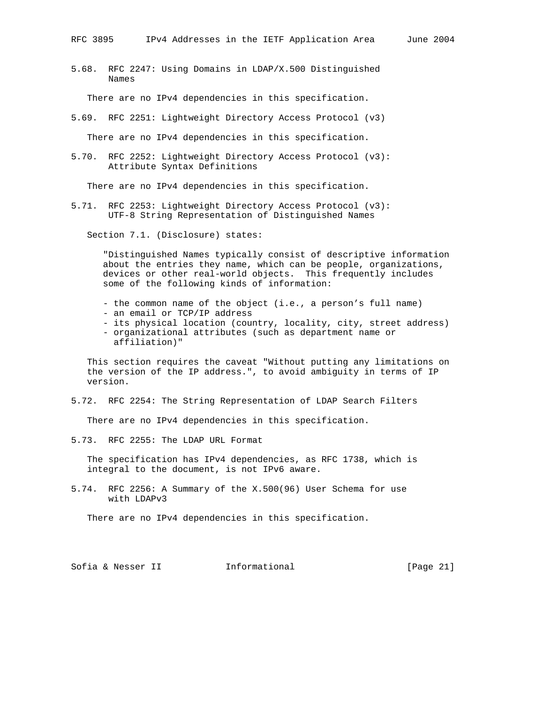5.68. RFC 2247: Using Domains in LDAP/X.500 Distinguished Names

There are no IPv4 dependencies in this specification.

5.69. RFC 2251: Lightweight Directory Access Protocol (v3)

There are no IPv4 dependencies in this specification.

5.70. RFC 2252: Lightweight Directory Access Protocol (v3): Attribute Syntax Definitions

There are no IPv4 dependencies in this specification.

5.71. RFC 2253: Lightweight Directory Access Protocol (v3): UTF-8 String Representation of Distinguished Names

Section 7.1. (Disclosure) states:

 "Distinguished Names typically consist of descriptive information about the entries they name, which can be people, organizations, devices or other real-world objects. This frequently includes some of the following kinds of information:

- the common name of the object (i.e., a person's full name)
- an email or TCP/IP address
- its physical location (country, locality, city, street address)
- organizational attributes (such as department name or affiliation)"

 This section requires the caveat "Without putting any limitations on the version of the IP address.", to avoid ambiguity in terms of IP version.

5.72. RFC 2254: The String Representation of LDAP Search Filters

There are no IPv4 dependencies in this specification.

5.73. RFC 2255: The LDAP URL Format

 The specification has IPv4 dependencies, as RFC 1738, which is integral to the document, is not IPv6 aware.

5.74. RFC 2256: A Summary of the X.500(96) User Schema for use with LDAPv3

There are no IPv4 dependencies in this specification.

Sofia & Nesser II 1nformational [Page 21]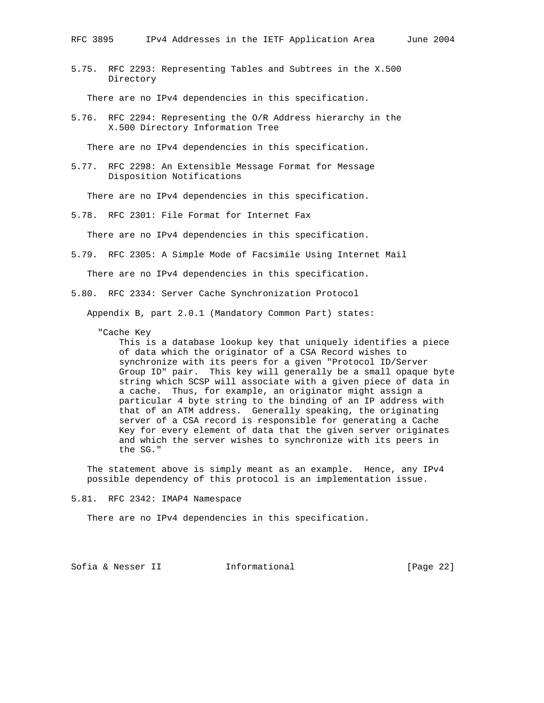5.75. RFC 2293: Representing Tables and Subtrees in the X.500 Directory

There are no IPv4 dependencies in this specification.

5.76. RFC 2294: Representing the O/R Address hierarchy in the X.500 Directory Information Tree

There are no IPv4 dependencies in this specification.

5.77. RFC 2298: An Extensible Message Format for Message Disposition Notifications

There are no IPv4 dependencies in this specification.

5.78. RFC 2301: File Format for Internet Fax

There are no IPv4 dependencies in this specification.

5.79. RFC 2305: A Simple Mode of Facsimile Using Internet Mail

There are no IPv4 dependencies in this specification.

5.80. RFC 2334: Server Cache Synchronization Protocol

Appendix B, part 2.0.1 (Mandatory Common Part) states:

"Cache Key

 This is a database lookup key that uniquely identifies a piece of data which the originator of a CSA Record wishes to synchronize with its peers for a given "Protocol ID/Server Group ID" pair. This key will generally be a small opaque byte string which SCSP will associate with a given piece of data in a cache. Thus, for example, an originator might assign a particular 4 byte string to the binding of an IP address with that of an ATM address. Generally speaking, the originating server of a CSA record is responsible for generating a Cache Key for every element of data that the given server originates and which the server wishes to synchronize with its peers in the SG."

 The statement above is simply meant as an example. Hence, any IPv4 possible dependency of this protocol is an implementation issue.

5.81. RFC 2342: IMAP4 Namespace

There are no IPv4 dependencies in this specification.

Sofia & Nesser II 1nformational [Page 22]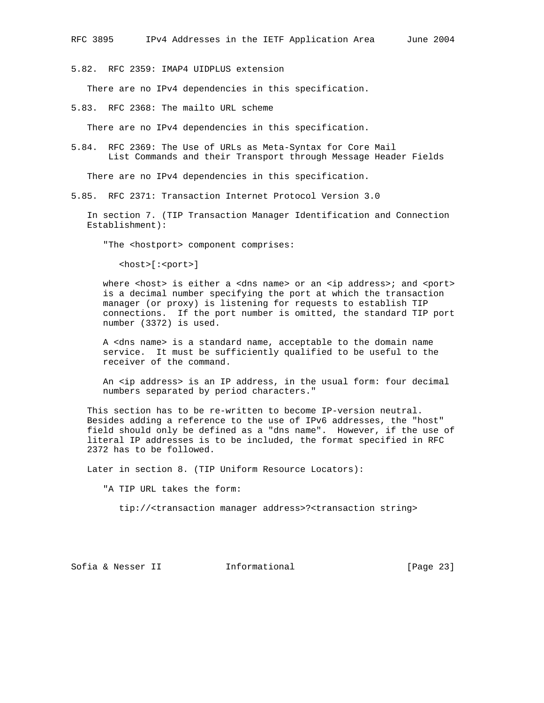5.82. RFC 2359: IMAP4 UIDPLUS extension

There are no IPv4 dependencies in this specification.

5.83. RFC 2368: The mailto URL scheme

There are no IPv4 dependencies in this specification.

5.84. RFC 2369: The Use of URLs as Meta-Syntax for Core Mail List Commands and their Transport through Message Header Fields

There are no IPv4 dependencies in this specification.

5.85. RFC 2371: Transaction Internet Protocol Version 3.0

 In section 7. (TIP Transaction Manager Identification and Connection Establishment):

"The <hostport> component comprises:

<host>[:<port>]

where <host> is either a <dns name> or an <ip address>; and <port> is a decimal number specifying the port at which the transaction manager (or proxy) is listening for requests to establish TIP connections. If the port number is omitted, the standard TIP port number (3372) is used.

 A <dns name> is a standard name, acceptable to the domain name service. It must be sufficiently qualified to be useful to the receiver of the command.

 An <ip address> is an IP address, in the usual form: four decimal numbers separated by period characters."

 This section has to be re-written to become IP-version neutral. Besides adding a reference to the use of IPv6 addresses, the "host" field should only be defined as a "dns name". However, if the use of literal IP addresses is to be included, the format specified in RFC 2372 has to be followed.

Later in section 8. (TIP Uniform Resource Locators):

"A TIP URL takes the form:

tip://<transaction manager address>?<transaction string>

Sofia & Nesser II 1nformational [Page 23]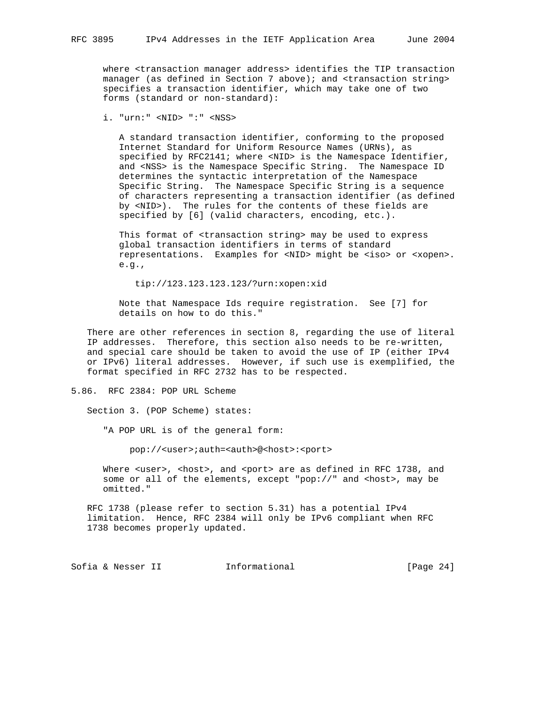where <transaction manager address> identifies the TIP transaction manager (as defined in Section 7 above); and <transaction string> specifies a transaction identifier, which may take one of two forms (standard or non-standard):

i. "urn:" <NID> ":" <NSS>

 A standard transaction identifier, conforming to the proposed Internet Standard for Uniform Resource Names (URNs), as specified by RFC2141; where <NID> is the Namespace Identifier, and <NSS> is the Namespace Specific String. The Namespace ID determines the syntactic interpretation of the Namespace Specific String. The Namespace Specific String is a sequence of characters representing a transaction identifier (as defined by <NID>). The rules for the contents of these fields are specified by [6] (valid characters, encoding, etc.).

 This format of <transaction string> may be used to express global transaction identifiers in terms of standard representations. Examples for <NID> might be <iso> or <xopen>. e.g.,

tip://123.123.123.123/?urn:xopen:xid

 Note that Namespace Ids require registration. See [7] for details on how to do this."

 There are other references in section 8, regarding the use of literal IP addresses. Therefore, this section also needs to be re-written, and special care should be taken to avoid the use of IP (either IPv4 or IPv6) literal addresses. However, if such use is exemplified, the format specified in RFC 2732 has to be respected.

5.86. RFC 2384: POP URL Scheme

Section 3. (POP Scheme) states:

"A POP URL is of the general form:

pop://<user>;auth=<auth>@<host>:<port>

Where <user>, <host>, and <port> are as defined in RFC 1738, and some or all of the elements, except "pop://" and <host>, may be omitted."

 RFC 1738 (please refer to section 5.31) has a potential IPv4 limitation. Hence, RFC 2384 will only be IPv6 compliant when RFC 1738 becomes properly updated.

Sofia & Nesser II 1nformational [Page 24]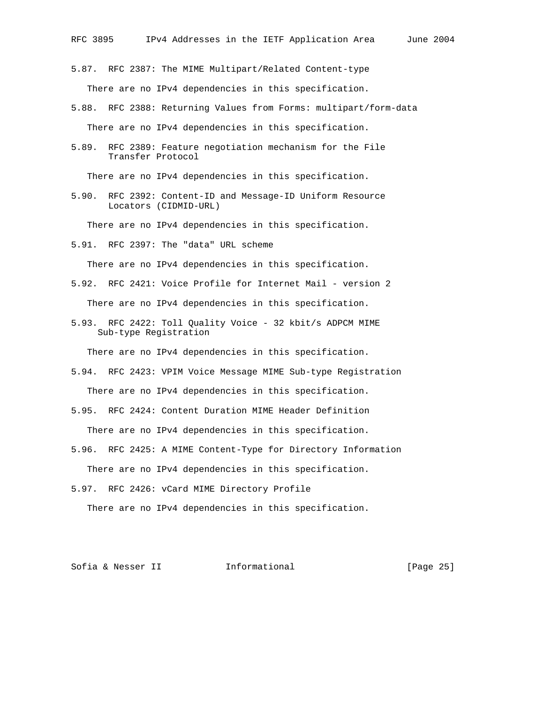- 5.87. RFC 2387: The MIME Multipart/Related Content-type There are no IPv4 dependencies in this specification.
- 5.88. RFC 2388: Returning Values from Forms: multipart/form-data There are no IPv4 dependencies in this specification.
- 5.89. RFC 2389: Feature negotiation mechanism for the File Transfer Protocol

There are no IPv4 dependencies in this specification.

5.90. RFC 2392: Content-ID and Message-ID Uniform Resource Locators (CIDMID-URL)

There are no IPv4 dependencies in this specification.

5.91. RFC 2397: The "data" URL scheme

There are no IPv4 dependencies in this specification.

- 5.92. RFC 2421: Voice Profile for Internet Mail version 2 There are no IPv4 dependencies in this specification.
- 5.93. RFC 2422: Toll Quality Voice 32 kbit/s ADPCM MIME Sub-type Registration

There are no IPv4 dependencies in this specification.

- 5.94. RFC 2423: VPIM Voice Message MIME Sub-type Registration There are no IPv4 dependencies in this specification.
- 5.95. RFC 2424: Content Duration MIME Header Definition There are no IPv4 dependencies in this specification.
- 5.96. RFC 2425: A MIME Content-Type for Directory Information There are no IPv4 dependencies in this specification.
- 5.97. RFC 2426: vCard MIME Directory Profile

There are no IPv4 dependencies in this specification.

Sofia & Nesser II 11 Informational 11 [Page 25]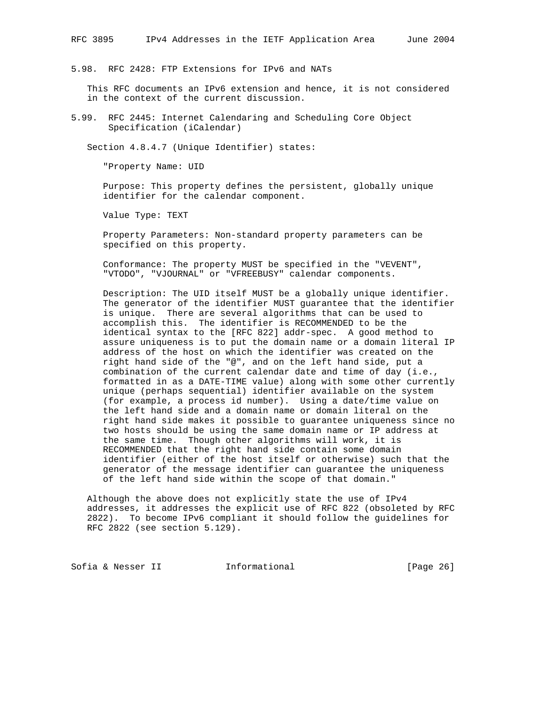5.98. RFC 2428: FTP Extensions for IPv6 and NATs

 This RFC documents an IPv6 extension and hence, it is not considered in the context of the current discussion.

5.99. RFC 2445: Internet Calendaring and Scheduling Core Object Specification (iCalendar)

Section 4.8.4.7 (Unique Identifier) states:

"Property Name: UID

 Purpose: This property defines the persistent, globally unique identifier for the calendar component.

Value Type: TEXT

 Property Parameters: Non-standard property parameters can be specified on this property.

 Conformance: The property MUST be specified in the "VEVENT", "VTODO", "VJOURNAL" or "VFREEBUSY" calendar components.

 Description: The UID itself MUST be a globally unique identifier. The generator of the identifier MUST guarantee that the identifier is unique. There are several algorithms that can be used to accomplish this. The identifier is RECOMMENDED to be the identical syntax to the [RFC 822] addr-spec. A good method to assure uniqueness is to put the domain name or a domain literal IP address of the host on which the identifier was created on the right hand side of the "@", and on the left hand side, put a combination of the current calendar date and time of day (i.e., formatted in as a DATE-TIME value) along with some other currently unique (perhaps sequential) identifier available on the system (for example, a process id number). Using a date/time value on the left hand side and a domain name or domain literal on the right hand side makes it possible to guarantee uniqueness since no two hosts should be using the same domain name or IP address at the same time. Though other algorithms will work, it is RECOMMENDED that the right hand side contain some domain identifier (either of the host itself or otherwise) such that the generator of the message identifier can guarantee the uniqueness of the left hand side within the scope of that domain."

 Although the above does not explicitly state the use of IPv4 addresses, it addresses the explicit use of RFC 822 (obsoleted by RFC 2822). To become IPv6 compliant it should follow the guidelines for RFC 2822 (see section 5.129).

Sofia & Nesser II 1nformational [Page 26]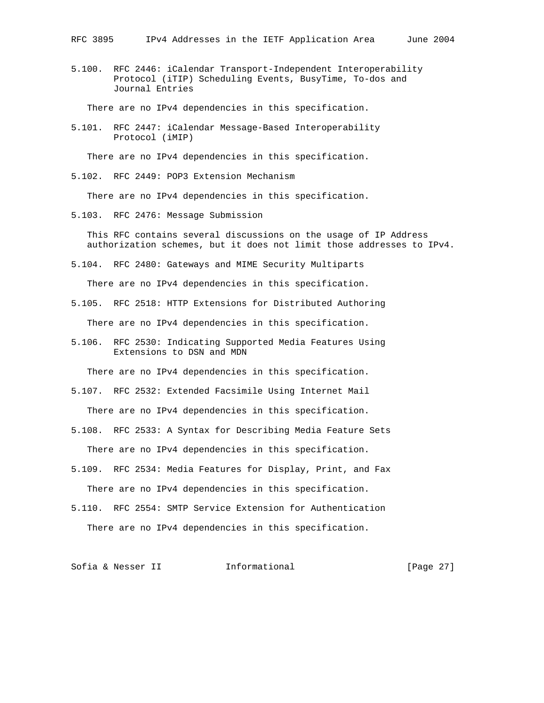5.100. RFC 2446: iCalendar Transport-Independent Interoperability Protocol (iTIP) Scheduling Events, BusyTime, To-dos and Journal Entries

There are no IPv4 dependencies in this specification.

5.101. RFC 2447: iCalendar Message-Based Interoperability Protocol (iMIP)

There are no IPv4 dependencies in this specification.

5.102. RFC 2449: POP3 Extension Mechanism

There are no IPv4 dependencies in this specification.

5.103. RFC 2476: Message Submission

 This RFC contains several discussions on the usage of IP Address authorization schemes, but it does not limit those addresses to IPv4.

5.104. RFC 2480: Gateways and MIME Security Multiparts

There are no IPv4 dependencies in this specification.

- 5.105. RFC 2518: HTTP Extensions for Distributed Authoring There are no IPv4 dependencies in this specification.
- 5.106. RFC 2530: Indicating Supported Media Features Using Extensions to DSN and MDN

There are no IPv4 dependencies in this specification.

- 5.107. RFC 2532: Extended Facsimile Using Internet Mail There are no IPv4 dependencies in this specification.
- 5.108. RFC 2533: A Syntax for Describing Media Feature Sets There are no IPv4 dependencies in this specification.
- 5.109. RFC 2534: Media Features for Display, Print, and Fax There are no IPv4 dependencies in this specification.
- 5.110. RFC 2554: SMTP Service Extension for Authentication There are no IPv4 dependencies in this specification.

Sofia & Nesser II 1nformational [Page 27]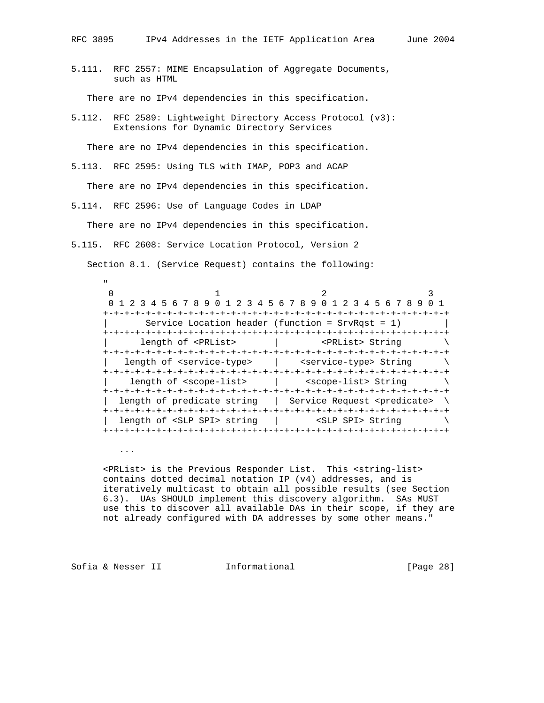5.111. RFC 2557: MIME Encapsulation of Aggregate Documents, such as HTML

There are no IPv4 dependencies in this specification.

5.112. RFC 2589: Lightweight Directory Access Protocol (v3): Extensions for Dynamic Directory Services

There are no IPv4 dependencies in this specification.

5.113. RFC 2595: Using TLS with IMAP, POP3 and ACAP

There are no IPv4 dependencies in this specification.

5.114. RFC 2596: Use of Language Codes in LDAP

There are no IPv4 dependencies in this specification.

5.115. RFC 2608: Service Location Protocol, Version 2

Section 8.1. (Service Request) contains the following:

 " 0  $1$  2 3 0 1 2 3 4 5 6 7 8 9 0 1 2 3 4 5 6 7 8 9 0 1 2 3 4 5 6 7 8 9 0 1 +-+-+-+-+-+-+-+-+-+-+-+-+-+-+-+-+-+-+-+-+-+-+-+-+-+-+-+-+-+-+-+-+ | Service Location header (function = SrvRqst = 1) | +-+-+-+-+-+-+-+-+-+-+-+-+-+-+-+-+-+-+-+-+-+-+-+-+-+-+-+-+-+-+-+-+ length of <PRList>  $|$  <PRList> String  $\setminus$  +-+-+-+-+-+-+-+-+-+-+-+-+-+-+-+-+-+-+-+-+-+-+-+-+-+-+-+-+-+-+-+-+ length of <service-type> | <service-type> String \ +-+-+-+-+-+-+-+-+-+-+-+-+-+-+-+-+-+-+-+-+-+-+-+-+-+-+-+-+-+-+-+-+ length of <scope-list>  $|$  <scope-list> String  $\setminus$  +-+-+-+-+-+-+-+-+-+-+-+-+-+-+-+-+-+-+-+-+-+-+-+-+-+-+-+-+-+-+-+-+ length of predicate string | Service Request <predicate> \ +-+-+-+-+-+-+-+-+-+-+-+-+-+-+-+-+-+-+-+-+-+-+-+-+-+-+-+-+-+-+-+-+ length of <SLP SPI> string | <SLP SPI> String \ +-+-+-+-+-+-+-+-+-+-+-+-+-+-+-+-+-+-+-+-+-+-+-+-+-+-+-+-+-+-+-+-+

...

 <PRList> is the Previous Responder List. This <string-list> contains dotted decimal notation IP (v4) addresses, and is iteratively multicast to obtain all possible results (see Section 6.3). UAs SHOULD implement this discovery algorithm. SAs MUST use this to discover all available DAs in their scope, if they are not already configured with DA addresses by some other means."

Sofia & Nesser II 1nformational [Page 28]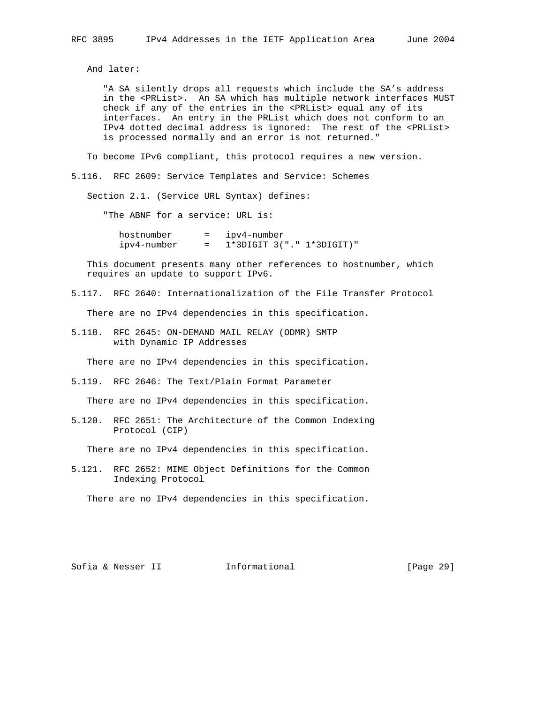And later:

 "A SA silently drops all requests which include the SA's address in the <PRList>. An SA which has multiple network interfaces MUST check if any of the entries in the <PRList> equal any of its interfaces. An entry in the PRList which does not conform to an IPv4 dotted decimal address is ignored: The rest of the <PRList> is processed normally and an error is not returned."

To become IPv6 compliant, this protocol requires a new version.

5.116. RFC 2609: Service Templates and Service: Schemes

Section 2.1. (Service URL Syntax) defines:

"The ABNF for a service: URL is:

 hostnumber = ipv4-number ipv4-number = 1\*3DIGIT 3("." 1\*3DIGIT)"

 This document presents many other references to hostnumber, which requires an update to support IPv6.

5.117. RFC 2640: Internationalization of the File Transfer Protocol

There are no IPv4 dependencies in this specification.

5.118. RFC 2645: ON-DEMAND MAIL RELAY (ODMR) SMTP with Dynamic IP Addresses

There are no IPv4 dependencies in this specification.

5.119. RFC 2646: The Text/Plain Format Parameter

There are no IPv4 dependencies in this specification.

5.120. RFC 2651: The Architecture of the Common Indexing Protocol (CIP)

There are no IPv4 dependencies in this specification.

5.121. RFC 2652: MIME Object Definitions for the Common Indexing Protocol

There are no IPv4 dependencies in this specification.

Sofia & Nesser II 1nformational [Page 29]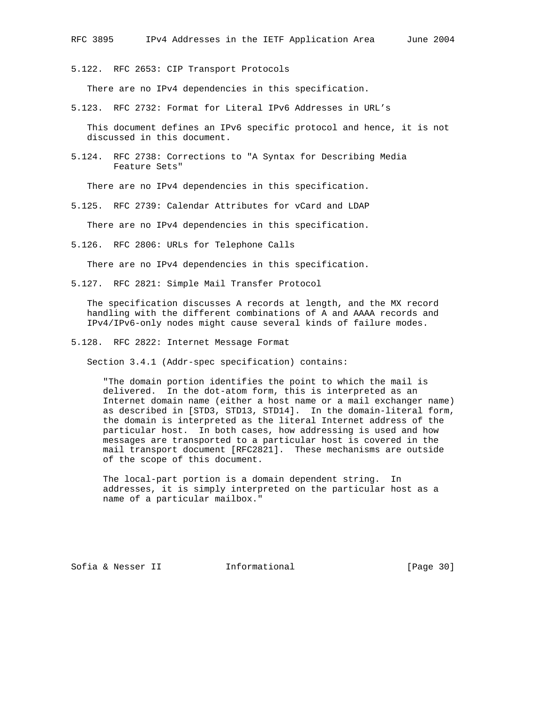5.122. RFC 2653: CIP Transport Protocols

There are no IPv4 dependencies in this specification.

5.123. RFC 2732: Format for Literal IPv6 Addresses in URL's

 This document defines an IPv6 specific protocol and hence, it is not discussed in this document.

5.124. RFC 2738: Corrections to "A Syntax for Describing Media Feature Sets"

There are no IPv4 dependencies in this specification.

5.125. RFC 2739: Calendar Attributes for vCard and LDAP

There are no IPv4 dependencies in this specification.

5.126. RFC 2806: URLs for Telephone Calls

There are no IPv4 dependencies in this specification.

5.127. RFC 2821: Simple Mail Transfer Protocol

 The specification discusses A records at length, and the MX record handling with the different combinations of A and AAAA records and IPv4/IPv6-only nodes might cause several kinds of failure modes.

5.128. RFC 2822: Internet Message Format

Section 3.4.1 (Addr-spec specification) contains:

 "The domain portion identifies the point to which the mail is delivered. In the dot-atom form, this is interpreted as an Internet domain name (either a host name or a mail exchanger name) as described in [STD3, STD13, STD14]. In the domain-literal form, the domain is interpreted as the literal Internet address of the particular host. In both cases, how addressing is used and how messages are transported to a particular host is covered in the mail transport document [RFC2821]. These mechanisms are outside of the scope of this document.

 The local-part portion is a domain dependent string. In addresses, it is simply interpreted on the particular host as a name of a particular mailbox."

Sofia & Nesser II 1nformational [Page 30]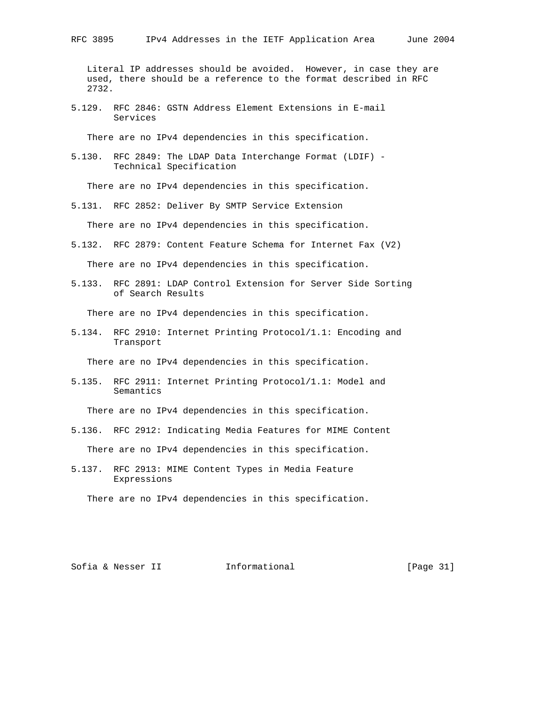Literal IP addresses should be avoided. However, in case they are used, there should be a reference to the format described in RFC 2732.

5.129. RFC 2846: GSTN Address Element Extensions in E-mail Services

There are no IPv4 dependencies in this specification.

5.130. RFC 2849: The LDAP Data Interchange Format (LDIF) - Technical Specification

There are no IPv4 dependencies in this specification.

5.131. RFC 2852: Deliver By SMTP Service Extension

There are no IPv4 dependencies in this specification.

5.132. RFC 2879: Content Feature Schema for Internet Fax (V2)

There are no IPv4 dependencies in this specification.

5.133. RFC 2891: LDAP Control Extension for Server Side Sorting of Search Results

There are no IPv4 dependencies in this specification.

5.134. RFC 2910: Internet Printing Protocol/1.1: Encoding and Transport

There are no IPv4 dependencies in this specification.

5.135. RFC 2911: Internet Printing Protocol/1.1: Model and Semantics

There are no IPv4 dependencies in this specification.

- 5.136. RFC 2912: Indicating Media Features for MIME Content There are no IPv4 dependencies in this specification.
- 5.137. RFC 2913: MIME Content Types in Media Feature Expressions

There are no IPv4 dependencies in this specification.

Sofia & Nesser II 1nformational [Page 31]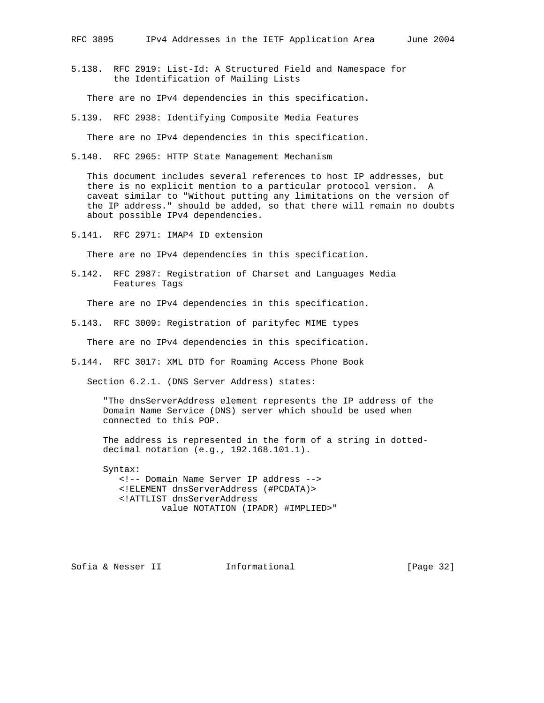5.138. RFC 2919: List-Id: A Structured Field and Namespace for the Identification of Mailing Lists

There are no IPv4 dependencies in this specification.

5.139. RFC 2938: Identifying Composite Media Features

There are no IPv4 dependencies in this specification.

5.140. RFC 2965: HTTP State Management Mechanism

 This document includes several references to host IP addresses, but there is no explicit mention to a particular protocol version. A caveat similar to "Without putting any limitations on the version of the IP address." should be added, so that there will remain no doubts about possible IPv4 dependencies.

5.141. RFC 2971: IMAP4 ID extension

There are no IPv4 dependencies in this specification.

5.142. RFC 2987: Registration of Charset and Languages Media Features Tags

There are no IPv4 dependencies in this specification.

5.143. RFC 3009: Registration of parityfec MIME types

There are no IPv4 dependencies in this specification.

5.144. RFC 3017: XML DTD for Roaming Access Phone Book

Section 6.2.1. (DNS Server Address) states:

 "The dnsServerAddress element represents the IP address of the Domain Name Service (DNS) server which should be used when connected to this POP.

 The address is represented in the form of a string in dotted decimal notation (e.g., 192.168.101.1).

 Syntax: <!-- Domain Name Server IP address --> <!ELEMENT dnsServerAddress (#PCDATA)> <!ATTLIST dnsServerAddress value NOTATION (IPADR) #IMPLIED>"

Sofia & Nesser II 1nformational [Page 32]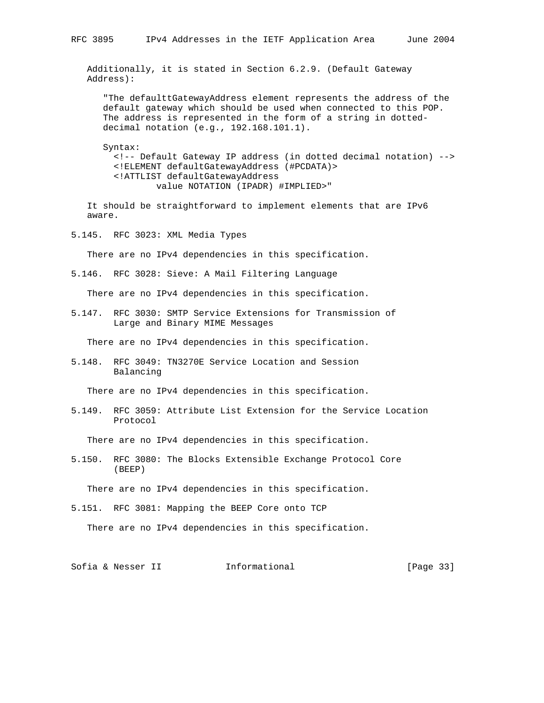Additionally, it is stated in Section 6.2.9. (Default Gateway Address):

 "The defaulttGatewayAddress element represents the address of the default gateway which should be used when connected to this POP. The address is represented in the form of a string in dotted decimal notation (e.g., 192.168.101.1).

 Syntax: <!-- Default Gateway IP address (in dotted decimal notation) --> <!ELEMENT defaultGatewayAddress (#PCDATA)> <!ATTLIST defaultGatewayAddress value NOTATION (IPADR) #IMPLIED>"

 It should be straightforward to implement elements that are IPv6 aware.

5.145. RFC 3023: XML Media Types

There are no IPv4 dependencies in this specification.

5.146. RFC 3028: Sieve: A Mail Filtering Language

There are no IPv4 dependencies in this specification.

5.147. RFC 3030: SMTP Service Extensions for Transmission of Large and Binary MIME Messages

There are no IPv4 dependencies in this specification.

5.148. RFC 3049: TN3270E Service Location and Session Balancing

There are no IPv4 dependencies in this specification.

5.149. RFC 3059: Attribute List Extension for the Service Location Protocol

There are no IPv4 dependencies in this specification.

5.150. RFC 3080: The Blocks Extensible Exchange Protocol Core (BEEP)

There are no IPv4 dependencies in this specification.

5.151. RFC 3081: Mapping the BEEP Core onto TCP

There are no IPv4 dependencies in this specification.

Sofia & Nesser II 1nformational [Page 33]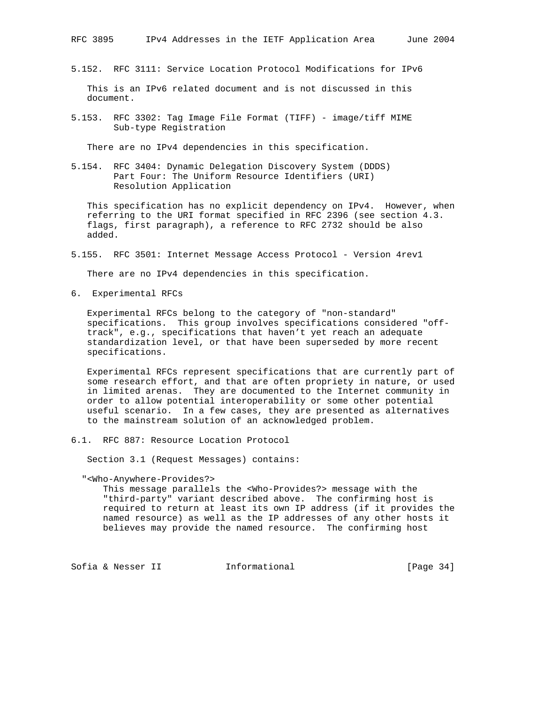5.152. RFC 3111: Service Location Protocol Modifications for IPv6

 This is an IPv6 related document and is not discussed in this document.

5.153. RFC 3302: Tag Image File Format (TIFF) - image/tiff MIME Sub-type Registration

There are no IPv4 dependencies in this specification.

5.154. RFC 3404: Dynamic Delegation Discovery System (DDDS) Part Four: The Uniform Resource Identifiers (URI) Resolution Application

 This specification has no explicit dependency on IPv4. However, when referring to the URI format specified in RFC 2396 (see section 4.3. flags, first paragraph), a reference to RFC 2732 should be also added.

5.155. RFC 3501: Internet Message Access Protocol - Version 4rev1

There are no IPv4 dependencies in this specification.

6. Experimental RFCs

 Experimental RFCs belong to the category of "non-standard" specifications. This group involves specifications considered "off track", e.g., specifications that haven't yet reach an adequate standardization level, or that have been superseded by more recent specifications.

 Experimental RFCs represent specifications that are currently part of some research effort, and that are often propriety in nature, or used in limited arenas. They are documented to the Internet community in order to allow potential interoperability or some other potential useful scenario. In a few cases, they are presented as alternatives to the mainstream solution of an acknowledged problem.

6.1. RFC 887: Resource Location Protocol

Section 3.1 (Request Messages) contains:

"<Who-Anywhere-Provides?>

 This message parallels the <Who-Provides?> message with the "third-party" variant described above. The confirming host is required to return at least its own IP address (if it provides the named resource) as well as the IP addresses of any other hosts it believes may provide the named resource. The confirming host

Sofia & Nesser II 11 Informational [Page 34]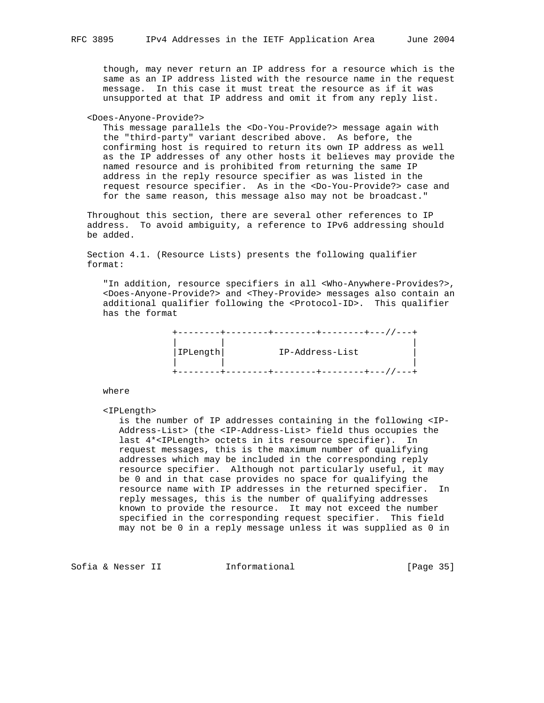though, may never return an IP address for a resource which is the same as an IP address listed with the resource name in the request message. In this case it must treat the resource as if it was unsupported at that IP address and omit it from any reply list.

<Does-Anyone-Provide?>

 This message parallels the <Do-You-Provide?> message again with the "third-party" variant described above. As before, the confirming host is required to return its own IP address as well as the IP addresses of any other hosts it believes may provide the named resource and is prohibited from returning the same IP address in the reply resource specifier as was listed in the request resource specifier. As in the <Do-You-Provide?> case and for the same reason, this message also may not be broadcast."

 Throughout this section, there are several other references to IP address. To avoid ambiguity, a reference to IPv6 addressing should be added.

 Section 4.1. (Resource Lists) presents the following qualifier format:

 "In addition, resource specifiers in all <Who-Anywhere-Provides?>, <Does-Anyone-Provide?> and <They-Provide> messages also contain an additional qualifier following the <Protocol-ID>. This qualifier has the format

| IPLength | IP-Address-List |
|----------|-----------------|
|          |                 |
|          |                 |

where

<IPLength>

 is the number of IP addresses containing in the following <IP- Address-List> (the <IP-Address-List> field thus occupies the last 4\*<IPLength> octets in its resource specifier). In request messages, this is the maximum number of qualifying addresses which may be included in the corresponding reply resource specifier. Although not particularly useful, it may be 0 and in that case provides no space for qualifying the resource name with IP addresses in the returned specifier. In reply messages, this is the number of qualifying addresses known to provide the resource. It may not exceed the number specified in the corresponding request specifier. This field may not be 0 in a reply message unless it was supplied as 0 in

Sofia & Nesser II 1nformational [Page 35]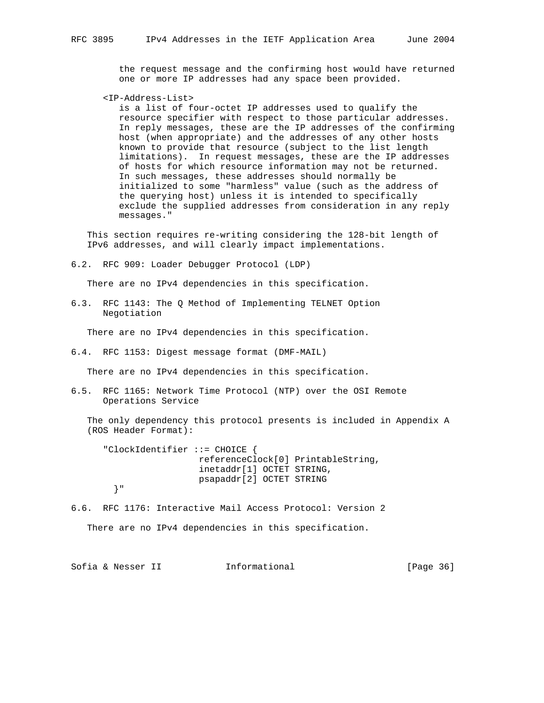the request message and the confirming host would have returned one or more IP addresses had any space been provided.

<IP-Address-List>

 is a list of four-octet IP addresses used to qualify the resource specifier with respect to those particular addresses. In reply messages, these are the IP addresses of the confirming host (when appropriate) and the addresses of any other hosts known to provide that resource (subject to the list length limitations). In request messages, these are the IP addresses of hosts for which resource information may not be returned. In such messages, these addresses should normally be initialized to some "harmless" value (such as the address of the querying host) unless it is intended to specifically exclude the supplied addresses from consideration in any reply messages."

 This section requires re-writing considering the 128-bit length of IPv6 addresses, and will clearly impact implementations.

6.2. RFC 909: Loader Debugger Protocol (LDP)

There are no IPv4 dependencies in this specification.

6.3. RFC 1143: The Q Method of Implementing TELNET Option Negotiation

There are no IPv4 dependencies in this specification.

6.4. RFC 1153: Digest message format (DMF-MAIL)

There are no IPv4 dependencies in this specification.

6.5. RFC 1165: Network Time Protocol (NTP) over the OSI Remote Operations Service

 The only dependency this protocol presents is included in Appendix A (ROS Header Format):

 "ClockIdentifier ::= CHOICE { referenceClock[0] PrintableString, inetaddr[1] OCTET STRING, psapaddr[2] OCTET STRING }"

6.6. RFC 1176: Interactive Mail Access Protocol: Version 2

There are no IPv4 dependencies in this specification.

Sofia & Nesser II 1nformational [Page 36]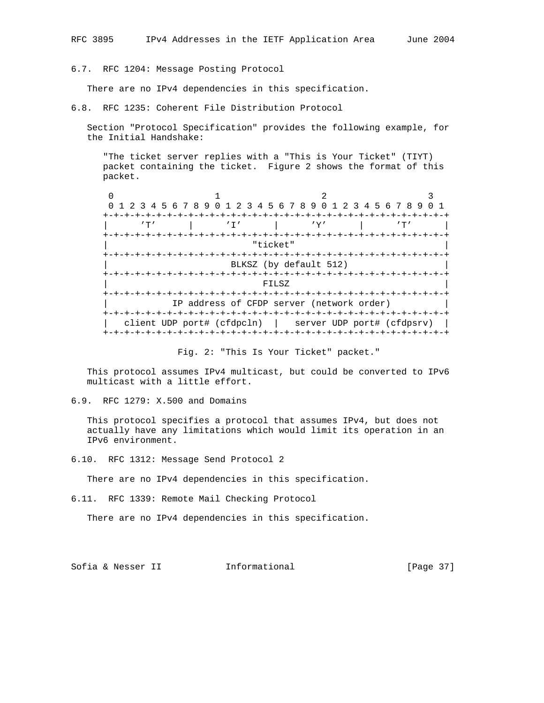6.7. RFC 1204: Message Posting Protocol

There are no IPv4 dependencies in this specification.

6.8. RFC 1235: Coherent File Distribution Protocol

 Section "Protocol Specification" provides the following example, for the Initial Handshake:

 "The ticket server replies with a "This is Your Ticket" (TIYT) packet containing the ticket. Figure 2 shows the format of this packet.

 $0$  1 2 3 0 1 2 3 4 5 6 7 8 9 0 1 2 3 4 5 6 7 8 9 0 1 2 3 4 5 6 7 8 9 0 1 +-+-+-+-+-+-+-+-+-+-+-+-+-+-+-+-+-+-+-+-+-+-+-+-+-+-+-+-+-+-+-+-+ | 'T' | 'I' | 'Y' | 'T' | +-+-+-+-+-+-+-+-+-+-+-+-+-+-+-+-+-+-+-+-+-+-+-+-+-+-+-+-+-+-+-+-+ | "ticket" | +-+-+-+-+-+-+-+-+-+-+-+-+-+-+-+-+-+-+-+-+-+-+-+-+-+-+-+-+-+-+-+-+ BLKSZ (by default 512) +-+-+-+-+-+-+-+-+-+-+-+-+-+-+-+-+-+-+-+-+-+-+-+-+-+-+-+-+-+-+-+-+ | FILSZ | +-+-+-+-+-+-+-+-+-+-+-+-+-+-+-+-+-+-+-+-+-+-+-+-+-+-+-+-+-+-+-+-+ IP address of CFDP server (network order) +-+-+-+-+-+-+-+-+-+-+-+-+-+-+-+-+-+-+-+-+-+-+-+-+-+-+-+-+-+-+-+-+ | client UDP port# (cfdpcln) | server UDP port# (cfdpsrv) | +-+-+-+-+-+-+-+-+-+-+-+-+-+-+-+-+-+-+-+-+-+-+-+-+-+-+-+-+-+-+-+-+

Fig. 2: "This Is Your Ticket" packet."

 This protocol assumes IPv4 multicast, but could be converted to IPv6 multicast with a little effort.

6.9. RFC 1279: X.500 and Domains

 This protocol specifies a protocol that assumes IPv4, but does not actually have any limitations which would limit its operation in an IPv6 environment.

6.10. RFC 1312: Message Send Protocol 2

There are no IPv4 dependencies in this specification.

6.11. RFC 1339: Remote Mail Checking Protocol

There are no IPv4 dependencies in this specification.

Sofia & Nesser II 1nformational [Page 37]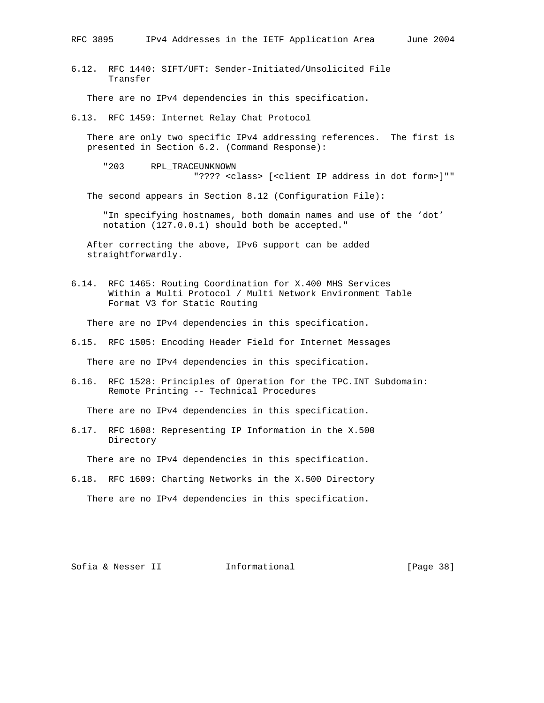6.12. RFC 1440: SIFT/UFT: Sender-Initiated/Unsolicited File Transfer

There are no IPv4 dependencies in this specification.

6.13. RFC 1459: Internet Relay Chat Protocol

 There are only two specific IPv4 addressing references. The first is presented in Section 6.2. (Command Response):

 "203 RPL\_TRACEUNKNOWN "???? <class> [<client IP address in dot form>]""

The second appears in Section 8.12 (Configuration File):

 "In specifying hostnames, both domain names and use of the 'dot' notation (127.0.0.1) should both be accepted."

 After correcting the above, IPv6 support can be added straightforwardly.

6.14. RFC 1465: Routing Coordination for X.400 MHS Services Within a Multi Protocol / Multi Network Environment Table Format V3 for Static Routing

There are no IPv4 dependencies in this specification.

6.15. RFC 1505: Encoding Header Field for Internet Messages

There are no IPv4 dependencies in this specification.

6.16. RFC 1528: Principles of Operation for the TPC.INT Subdomain: Remote Printing -- Technical Procedures

There are no IPv4 dependencies in this specification.

6.17. RFC 1608: Representing IP Information in the X.500 Directory

There are no IPv4 dependencies in this specification.

6.18. RFC 1609: Charting Networks in the X.500 Directory

There are no IPv4 dependencies in this specification.

Sofia & Nesser II 1nformational [Page 38]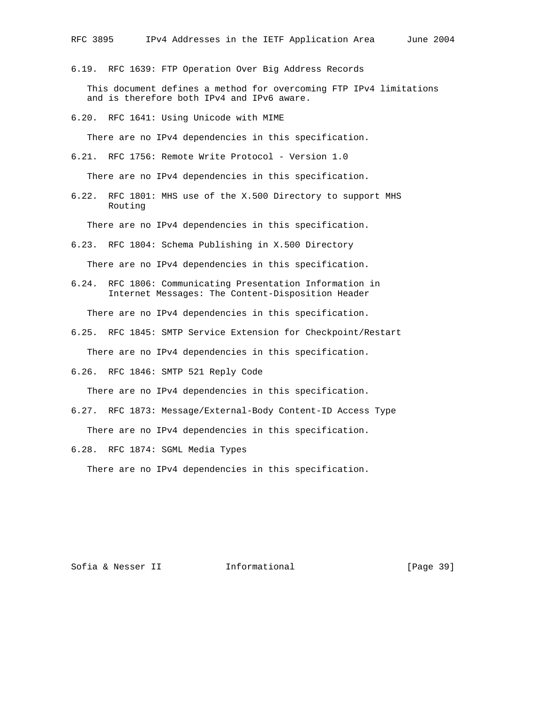6.19. RFC 1639: FTP Operation Over Big Address Records

 This document defines a method for overcoming FTP IPv4 limitations and is therefore both IPv4 and IPv6 aware.

6.20. RFC 1641: Using Unicode with MIME

There are no IPv4 dependencies in this specification.

6.21. RFC 1756: Remote Write Protocol - Version 1.0

There are no IPv4 dependencies in this specification.

6.22. RFC 1801: MHS use of the X.500 Directory to support MHS Routing

There are no IPv4 dependencies in this specification.

6.23. RFC 1804: Schema Publishing in X.500 Directory

There are no IPv4 dependencies in this specification.

6.24. RFC 1806: Communicating Presentation Information in Internet Messages: The Content-Disposition Header

There are no IPv4 dependencies in this specification.

6.25. RFC 1845: SMTP Service Extension for Checkpoint/Restart

There are no IPv4 dependencies in this specification.

6.26. RFC 1846: SMTP 521 Reply Code

There are no IPv4 dependencies in this specification.

- 6.27. RFC 1873: Message/External-Body Content-ID Access Type There are no IPv4 dependencies in this specification.
- 6.28. RFC 1874: SGML Media Types

There are no IPv4 dependencies in this specification.

Sofia & Nesser II 1nformational [Page 39]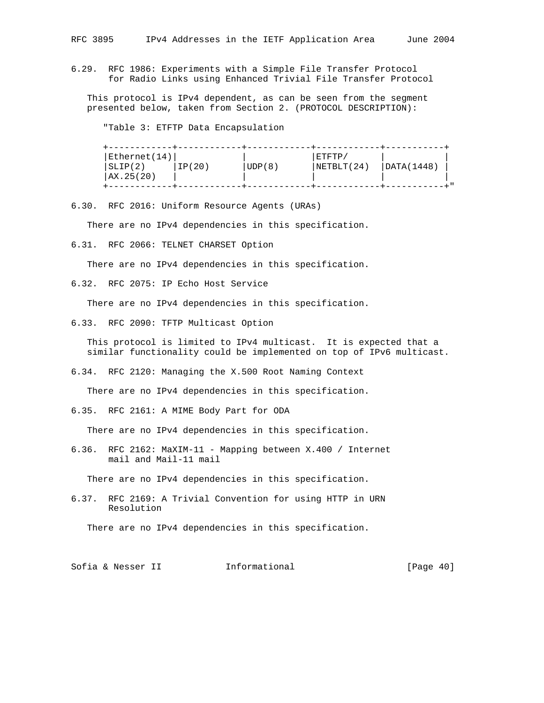6.29. RFC 1986: Experiments with a Simple File Transfer Protocol for Radio Links using Enhanced Trivial File Transfer Protocol

 This protocol is IPv4 dependent, as can be seen from the segment presented below, taken from Section 2. (PROTOCOL DESCRIPTION):

"Table 3: ETFTP Data Encapsulation

| Ethernet(14)<br>SLIP(2)<br>  AX.25(20) | IP(20) | UDP(8) | $\mid$ ETFTP $\prime$<br>NETBLT (24) | DATA(1448) |  |
|----------------------------------------|--------|--------|--------------------------------------|------------|--|
|                                        |        |        |                                      |            |  |

6.30. RFC 2016: Uniform Resource Agents (URAs)

There are no IPv4 dependencies in this specification.

6.31. RFC 2066: TELNET CHARSET Option

There are no IPv4 dependencies in this specification.

6.32. RFC 2075: IP Echo Host Service

There are no IPv4 dependencies in this specification.

6.33. RFC 2090: TFTP Multicast Option

 This protocol is limited to IPv4 multicast. It is expected that a similar functionality could be implemented on top of IPv6 multicast.

6.34. RFC 2120: Managing the X.500 Root Naming Context

There are no IPv4 dependencies in this specification.

6.35. RFC 2161: A MIME Body Part for ODA

There are no IPv4 dependencies in this specification.

6.36. RFC 2162: MaXIM-11 - Mapping between X.400 / Internet mail and Mail-11 mail

There are no IPv4 dependencies in this specification.

6.37. RFC 2169: A Trivial Convention for using HTTP in URN Resolution

There are no IPv4 dependencies in this specification.

Sofia & Nesser II 11 Informational [Page 40]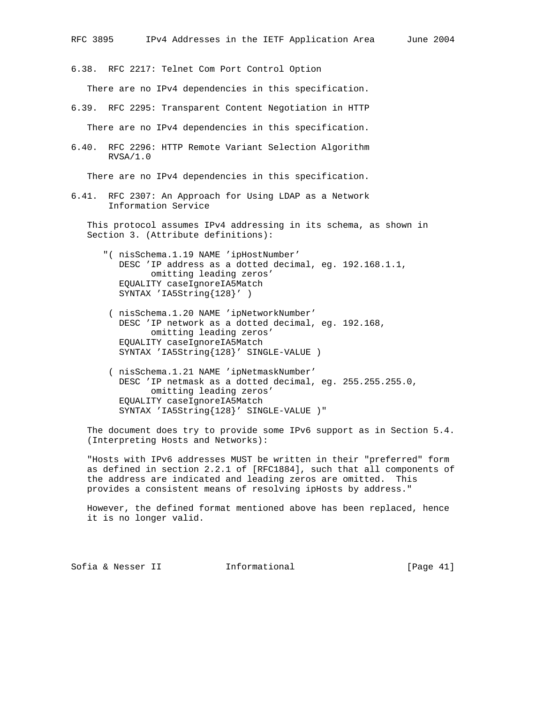6.38. RFC 2217: Telnet Com Port Control Option

There are no IPv4 dependencies in this specification.

- 6.39. RFC 2295: Transparent Content Negotiation in HTTP There are no IPv4 dependencies in this specification.
- 6.40. RFC 2296: HTTP Remote Variant Selection Algorithm RVSA/1.0

There are no IPv4 dependencies in this specification.

6.41. RFC 2307: An Approach for Using LDAP as a Network Information Service

 This protocol assumes IPv4 addressing in its schema, as shown in Section 3. (Attribute definitions):

- "( nisSchema.1.19 NAME 'ipHostNumber' DESC 'IP address as a dotted decimal, eg. 192.168.1.1, omitting leading zeros' EQUALITY caseIgnoreIA5Match SYNTAX 'IA5String{128}' )
- ( nisSchema.1.20 NAME 'ipNetworkNumber' DESC 'IP network as a dotted decimal, eg. 192.168, omitting leading zeros' EQUALITY caseIgnoreIA5Match SYNTAX 'IA5String{128}' SINGLE-VALUE )
- ( nisSchema.1.21 NAME 'ipNetmaskNumber' DESC 'IP netmask as a dotted decimal, eg. 255.255.255.0, omitting leading zeros' EQUALITY caseIgnoreIA5Match SYNTAX 'IA5String{128}' SINGLE-VALUE )"

 The document does try to provide some IPv6 support as in Section 5.4. (Interpreting Hosts and Networks):

 "Hosts with IPv6 addresses MUST be written in their "preferred" form as defined in section 2.2.1 of [RFC1884], such that all components of the address are indicated and leading zeros are omitted. This provides a consistent means of resolving ipHosts by address."

 However, the defined format mentioned above has been replaced, hence it is no longer valid.

Sofia & Nesser II 1nformational [Page 41]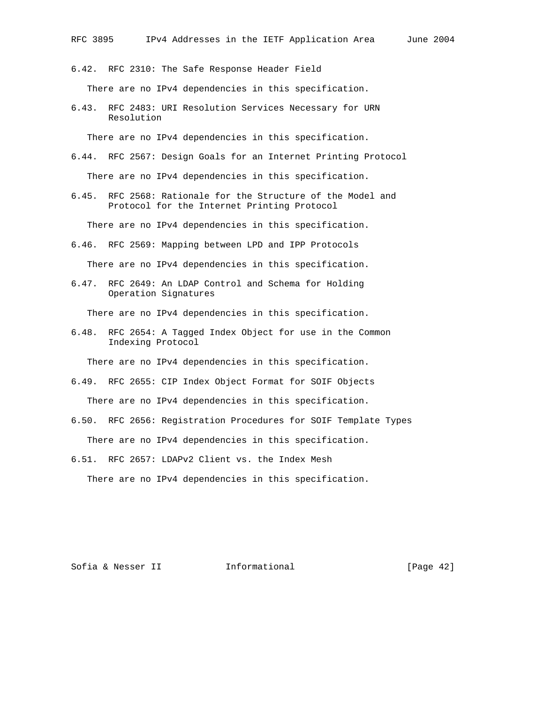6.42. RFC 2310: The Safe Response Header Field There are no IPv4 dependencies in this specification.

6.43. RFC 2483: URI Resolution Services Necessary for URN Resolution

There are no IPv4 dependencies in this specification.

- 6.44. RFC 2567: Design Goals for an Internet Printing Protocol There are no IPv4 dependencies in this specification.
- 6.45. RFC 2568: Rationale for the Structure of the Model and Protocol for the Internet Printing Protocol

There are no IPv4 dependencies in this specification.

6.46. RFC 2569: Mapping between LPD and IPP Protocols

There are no IPv4 dependencies in this specification.

6.47. RFC 2649: An LDAP Control and Schema for Holding Operation Signatures

There are no IPv4 dependencies in this specification.

6.48. RFC 2654: A Tagged Index Object for use in the Common Indexing Protocol

There are no IPv4 dependencies in this specification.

- 6.49. RFC 2655: CIP Index Object Format for SOIF Objects There are no IPv4 dependencies in this specification.
- 6.50. RFC 2656: Registration Procedures for SOIF Template Types There are no IPv4 dependencies in this specification.
- 6.51. RFC 2657: LDAPv2 Client vs. the Index Mesh There are no IPv4 dependencies in this specification.

Sofia & Nesser II 1nformational [Page 42]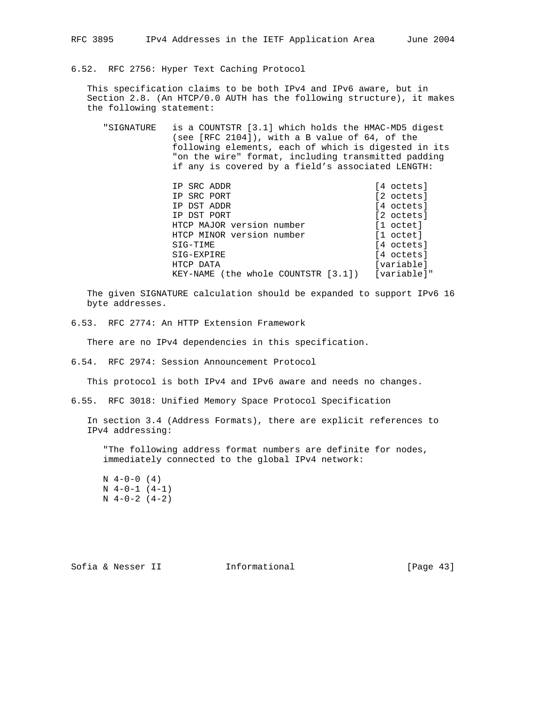6.52. RFC 2756: Hyper Text Caching Protocol

 This specification claims to be both IPv4 and IPv6 aware, but in Section 2.8. (An HTCP/0.0 AUTH has the following structure), it makes the following statement:

 "SIGNATURE is a COUNTSTR [3.1] which holds the HMAC-MD5 digest (see [RFC 2104]), with a B value of 64, of the following elements, each of which is digested in its "on the wire" format, including transmitted padding if any is covered by a field's associated LENGTH:

| IP SRC ADDR                         | [4 octets]          |
|-------------------------------------|---------------------|
| IP SRC PORT                         | [2 octets]          |
| IP DST ADDR                         | [4 octets]          |
| IP DST PORT                         | [2 octets]          |
| HTCP MAJOR version number           | $[1 \text{ octet}]$ |
| HTCP MINOR version number           | [1 octet]           |
| SIG-TIME                            | [4 octets]          |
| SIG-EXPIRE                          | [4 octets]          |
| HTCP DATA                           | [variable]          |
| KEY-NAME (the whole COUNTSTR [3.1]) | [variable]"         |

 The given SIGNATURE calculation should be expanded to support IPv6 16 byte addresses.

6.53. RFC 2774: An HTTP Extension Framework

There are no IPv4 dependencies in this specification.

6.54. RFC 2974: Session Announcement Protocol

This protocol is both IPv4 and IPv6 aware and needs no changes.

6.55. RFC 3018: Unified Memory Space Protocol Specification

 In section 3.4 (Address Formats), there are explicit references to IPv4 addressing:

 "The following address format numbers are definite for nodes, immediately connected to the global IPv4 network:

Sofia & Nesser II 1nformational [Page 43]

 $N \quad 4-0-0 \quad (4)$  $N \ 4-0-1 \ (4-1)$  $N \ 4-0-2 \ (4-2)$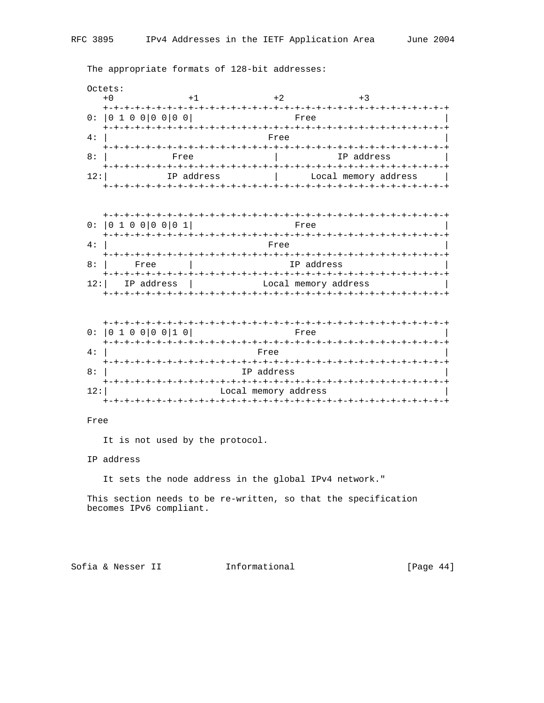The appropriate formats of 128-bit addresses:

Octets:

| $+0$                                  |            | $+2$                     |                      |  |
|---------------------------------------|------------|--------------------------|----------------------|--|
| <u> +-+-+-+-+-+</u><br>0:  0100 00 00 |            | Free                     |                      |  |
| 4 :                                   |            | Free                     |                      |  |
| 8:                                    | Free       |                          | IP address           |  |
| 12:                                   | IP address | -+-+-+-+-+-+-+-+-+-+-+-+ | Local memory address |  |

| $+ - + - +$       |                                      |  |
|-------------------|--------------------------------------|--|
| 0:  0100 00 01    | Free                                 |  |
|                   |                                      |  |
| 4 :               | Free                                 |  |
|                   | +-+-+-+-+-+-+-+-                     |  |
| 8:<br>Free        | IP address                           |  |
|                   | +-+-+-+-+-+-+-+-+-+-+-+-+-+-+-+-+-+- |  |
| IP address<br>12: | Local memory address                 |  |
|                   |                                      |  |

|     | $+ - + - + - +$              |
|-----|------------------------------|
|     | 0:  0 1 0 0 0 0 1 0 <br>Free |
|     |                              |
| 4:  | Free                         |
|     |                              |
| 8:  | IP address                   |
|     | $+- +$                       |
| 12: | Local memory address         |
|     |                              |

# Free

It is not used by the protocol.

IP address

It sets the node address in the global IPv4 network."

 This section needs to be re-written, so that the specification becomes IPv6 compliant.

Sofia & Nesser II 11 Informational [Page 44]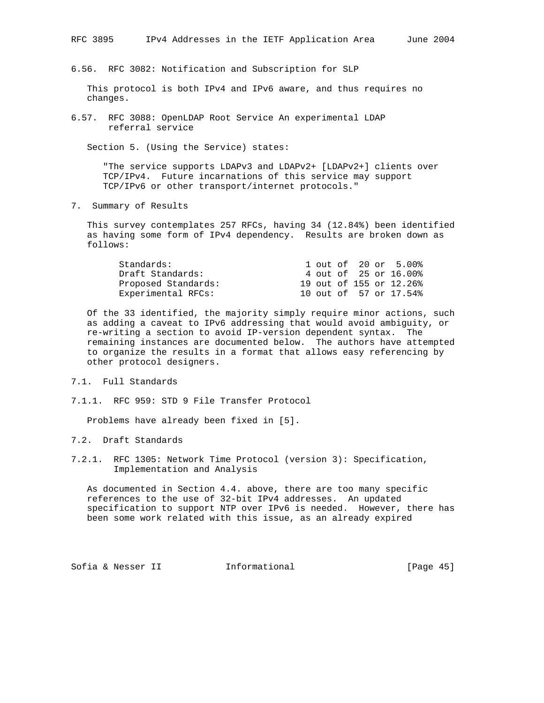6.56. RFC 3082: Notification and Subscription for SLP

 This protocol is both IPv4 and IPv6 aware, and thus requires no changes.

6.57. RFC 3088: OpenLDAP Root Service An experimental LDAP referral service

Section 5. (Using the Service) states:

 "The service supports LDAPv3 and LDAPv2+ [LDAPv2+] clients over TCP/IPv4. Future incarnations of this service may support TCP/IPv6 or other transport/internet protocols."

7. Summary of Results

 This survey contemplates 257 RFCs, having 34 (12.84%) been identified as having some form of IPv4 dependency. Results are broken down as follows:

| Standards:          |  |  | 1 out of 20 or 5.00%    |
|---------------------|--|--|-------------------------|
| Draft Standards:    |  |  | 4 out of 25 or 16.00%   |
| Proposed Standards: |  |  | 19 out of 155 or 12.26% |
| Experimental RFCs:  |  |  | 10 out of 57 or 17.54%  |

 Of the 33 identified, the majority simply require minor actions, such as adding a caveat to IPv6 addressing that would avoid ambiguity, or re-writing a section to avoid IP-version dependent syntax. The remaining instances are documented below. The authors have attempted to organize the results in a format that allows easy referencing by other protocol designers.

- 7.1. Full Standards
- 7.1.1. RFC 959: STD 9 File Transfer Protocol

Problems have already been fixed in [5].

- 7.2. Draft Standards
- 7.2.1. RFC 1305: Network Time Protocol (version 3): Specification, Implementation and Analysis

 As documented in Section 4.4. above, there are too many specific references to the use of 32-bit IPv4 addresses. An updated specification to support NTP over IPv6 is needed. However, there has been some work related with this issue, as an already expired

Sofia & Nesser II 1nformational [Page 45]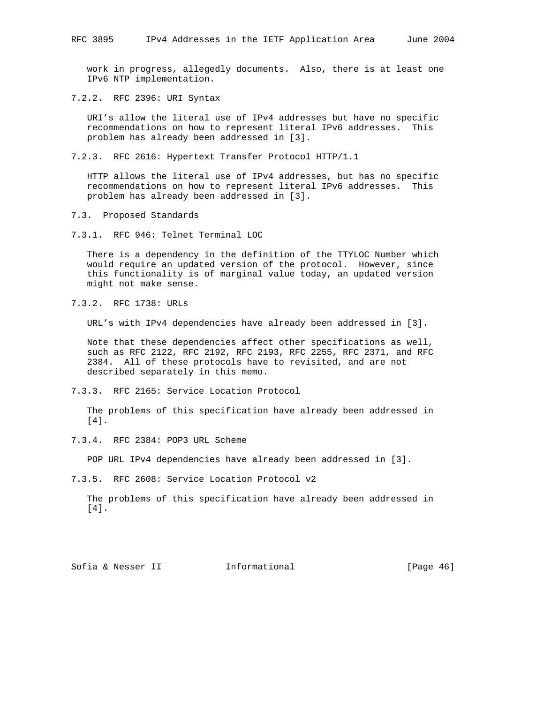work in progress, allegedly documents. Also, there is at least one IPv6 NTP implementation.

7.2.2. RFC 2396: URI Syntax

 URI's allow the literal use of IPv4 addresses but have no specific recommendations on how to represent literal IPv6 addresses. This problem has already been addressed in [3].

7.2.3. RFC 2616: Hypertext Transfer Protocol HTTP/1.1

 HTTP allows the literal use of IPv4 addresses, but has no specific recommendations on how to represent literal IPv6 addresses. This problem has already been addressed in [3].

7.3. Proposed Standards

7.3.1. RFC 946: Telnet Terminal LOC

 There is a dependency in the definition of the TTYLOC Number which would require an updated version of the protocol. However, since this functionality is of marginal value today, an updated version might not make sense.

7.3.2. RFC 1738: URLs

URL's with IPv4 dependencies have already been addressed in [3].

 Note that these dependencies affect other specifications as well, such as RFC 2122, RFC 2192, RFC 2193, RFC 2255, RFC 2371, and RFC 2384. All of these protocols have to revisited, and are not described separately in this memo.

7.3.3. RFC 2165: Service Location Protocol

 The problems of this specification have already been addressed in [4].

7.3.4. RFC 2384: POP3 URL Scheme

POP URL IPv4 dependencies have already been addressed in [3].

7.3.5. RFC 2608: Service Location Protocol v2

 The problems of this specification have already been addressed in [4].

Sofia & Nesser II 1nformational [Page 46]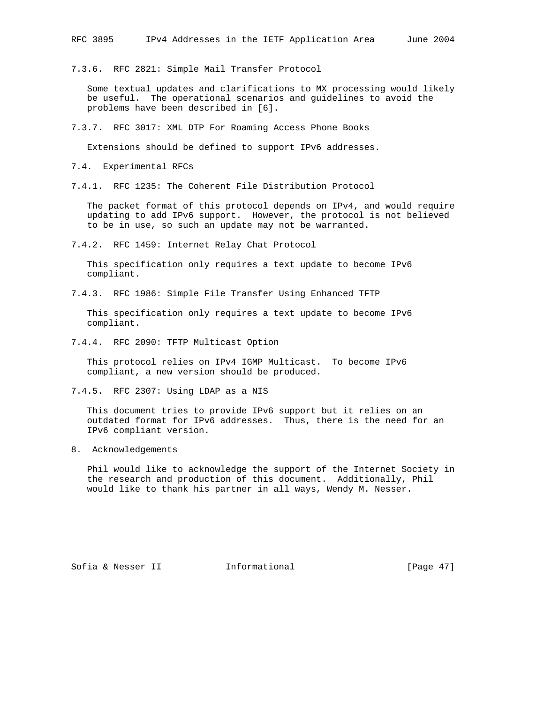7.3.6. RFC 2821: Simple Mail Transfer Protocol

 Some textual updates and clarifications to MX processing would likely be useful. The operational scenarios and guidelines to avoid the problems have been described in [6].

7.3.7. RFC 3017: XML DTP For Roaming Access Phone Books

Extensions should be defined to support IPv6 addresses.

7.4. Experimental RFCs

7.4.1. RFC 1235: The Coherent File Distribution Protocol

 The packet format of this protocol depends on IPv4, and would require updating to add IPv6 support. However, the protocol is not believed to be in use, so such an update may not be warranted.

7.4.2. RFC 1459: Internet Relay Chat Protocol

 This specification only requires a text update to become IPv6 compliant.

7.4.3. RFC 1986: Simple File Transfer Using Enhanced TFTP

 This specification only requires a text update to become IPv6 compliant.

7.4.4. RFC 2090: TFTP Multicast Option

 This protocol relies on IPv4 IGMP Multicast. To become IPv6 compliant, a new version should be produced.

7.4.5. RFC 2307: Using LDAP as a NIS

 This document tries to provide IPv6 support but it relies on an outdated format for IPv6 addresses. Thus, there is the need for an IPv6 compliant version.

8. Acknowledgements

 Phil would like to acknowledge the support of the Internet Society in the research and production of this document. Additionally, Phil would like to thank his partner in all ways, Wendy M. Nesser.

Sofia & Nesser II 1nformational [Page 47]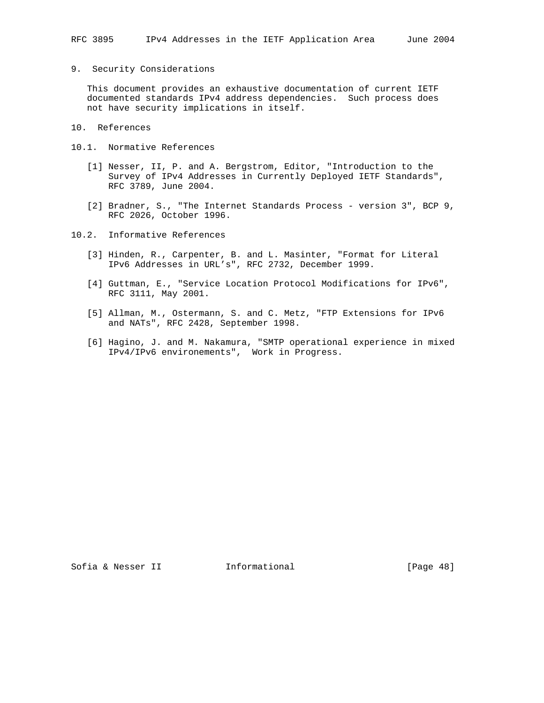# 9. Security Considerations

 This document provides an exhaustive documentation of current IETF documented standards IPv4 address dependencies. Such process does not have security implications in itself.

- 10. References
- 10.1. Normative References
	- [1] Nesser, II, P. and A. Bergstrom, Editor, "Introduction to the Survey of IPv4 Addresses in Currently Deployed IETF Standards", RFC 3789, June 2004.
	- [2] Bradner, S., "The Internet Standards Process version 3", BCP 9, RFC 2026, October 1996.
- 10.2. Informative References
	- [3] Hinden, R., Carpenter, B. and L. Masinter, "Format for Literal IPv6 Addresses in URL's", RFC 2732, December 1999.
	- [4] Guttman, E., "Service Location Protocol Modifications for IPv6", RFC 3111, May 2001.
	- [5] Allman, M., Ostermann, S. and C. Metz, "FTP Extensions for IPv6 and NATs", RFC 2428, September 1998.
	- [6] Hagino, J. and M. Nakamura, "SMTP operational experience in mixed IPv4/IPv6 environements", Work in Progress.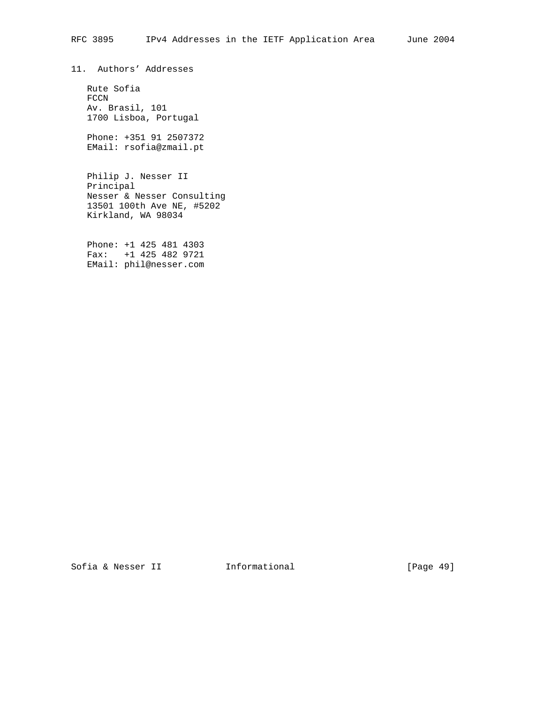11. Authors' Addresses

 Rute Sofia FCCN Av. Brasil, 101 1700 Lisboa, Portugal

 Phone: +351 91 2507372 EMail: rsofia@zmail.pt

 Philip J. Nesser II Principal Nesser & Nesser Consulting 13501 100th Ave NE, #5202 Kirkland, WA 98034

 Phone: +1 425 481 4303 Fax: +1 425 482 9721 EMail: phil@nesser.com